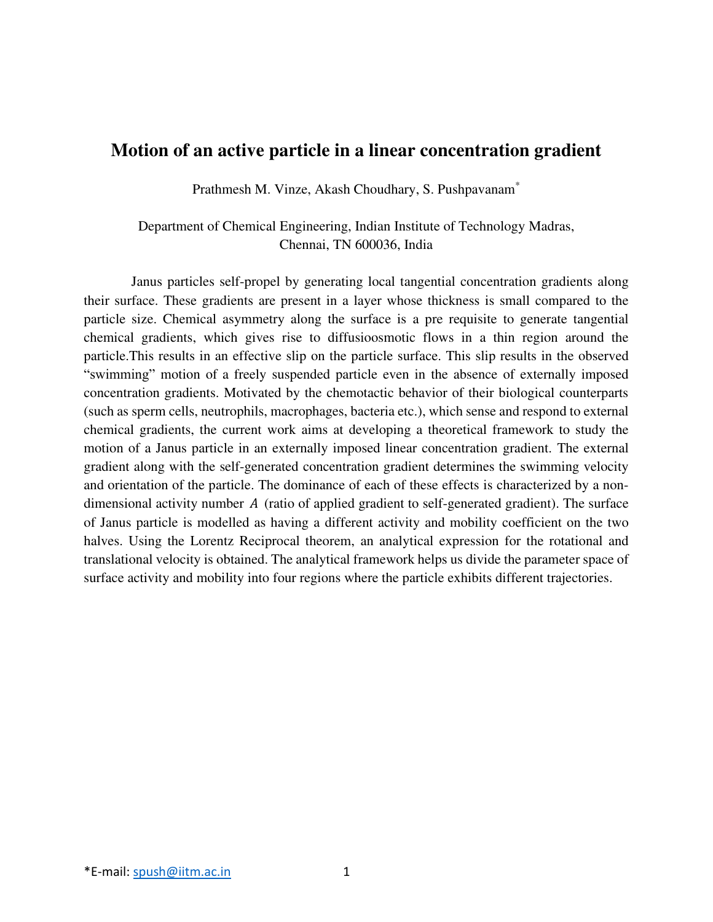## **Motion of an active particle in a linear concentration gradient**

Prathmesh M. Vinze, Akash Choudhary, S. Pushpavanam\*

Department of Chemical Engineering, Indian Institute of Technology Madras, Chennai, TN 600036, India

 Janus particles self-propel by generating local tangential concentration gradients along their surface. These gradients are present in a layer whose thickness is small compared to the particle size. Chemical asymmetry along the surface is a pre requisite to generate tangential chemical gradients, which gives rise to diffusioosmotic flows in a thin region around the particle.This results in an effective slip on the particle surface. This slip results in the observed "swimming" motion of a freely suspended particle even in the absence of externally imposed concentration gradients. Motivated by the chemotactic behavior of their biological counterparts (such as sperm cells, neutrophils, macrophages, bacteria etc.), which sense and respond to external chemical gradients, the current work aims at developing a theoretical framework to study the motion of a Janus particle in an externally imposed linear concentration gradient. The external gradient along with the self-generated concentration gradient determines the swimming velocity and orientation of the particle. The dominance of each of these effects is characterized by a nondimensional activity number  $A$  (ratio of applied gradient to self-generated gradient). The surface of Janus particle is modelled as having a different activity and mobility coefficient on the two halves. Using the Lorentz Reciprocal theorem, an analytical expression for the rotational and translational velocity is obtained. The analytical framework helps us divide the parameter space of surface activity and mobility into four regions where the particle exhibits different trajectories.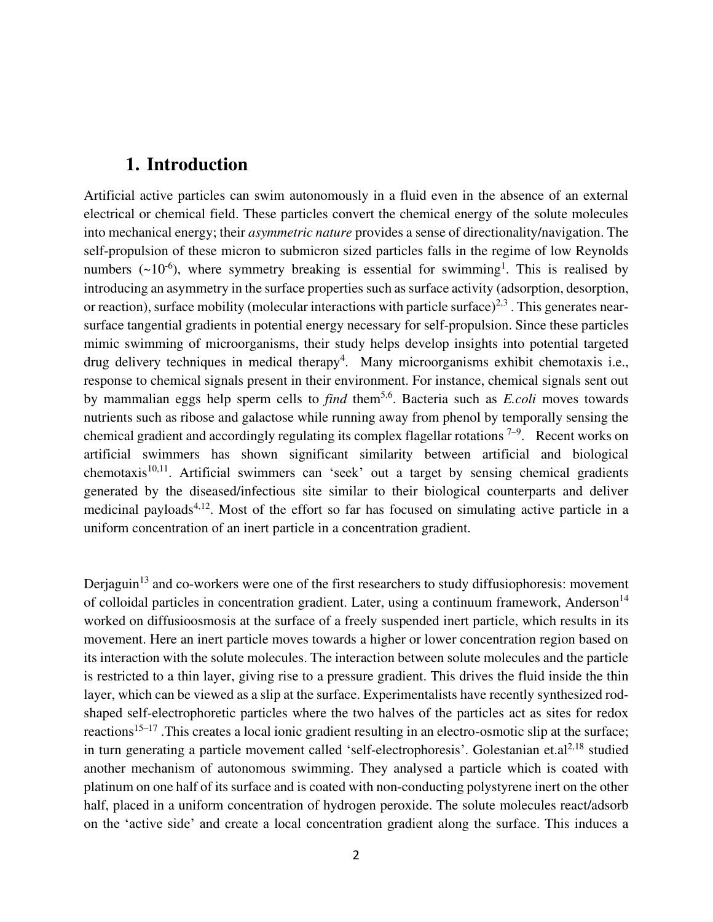## **1. Introduction**

Artificial active particles can swim autonomously in a fluid even in the absence of an external electrical or chemical field. These particles convert the chemical energy of the solute molecules into mechanical energy; their *asymmetric nature* provides a sense of directionality/navigation. The self-propulsion of these micron to submicron sized particles falls in the regime of low Reynolds numbers  $({\sim}10^{-6})$ , where symmetry breaking is essential for swimming<sup>1</sup>. This is realised by introducing an asymmetry in the surface properties such as surface activity (adsorption, desorption, or reaction), surface mobility (molecular interactions with particle surface)<sup>2,3</sup>. This generates nearsurface tangential gradients in potential energy necessary for self-propulsion. Since these particles mimic swimming of microorganisms, their study helps develop insights into potential targeted drug delivery techniques in medical therapy<sup>4</sup>. Many microorganisms exhibit chemotaxis i.e., response to chemical signals present in their environment. For instance, chemical signals sent out by mammalian eggs help sperm cells to *find* them<sup>5,6</sup>. Bacteria such as *E.coli* moves towards nutrients such as ribose and galactose while running away from phenol by temporally sensing the chemical gradient and accordingly regulating its complex flagellar rotations  $7-9$ . Recent works on artificial swimmers has shown significant similarity between artificial and biological chemotaxis<sup>10,11</sup>. Artificial swimmers can 'seek' out a target by sensing chemical gradients generated by the diseased/infectious site similar to their biological counterparts and deliver medicinal payloads<sup> $4,12$ </sup>. Most of the effort so far has focused on simulating active particle in a uniform concentration of an inert particle in a concentration gradient.

Derjaguin<sup>13</sup> and co-workers were one of the first researchers to study diffusiophoresis: movement of colloidal particles in concentration gradient. Later, using a continuum framework, Anderson<sup>14</sup> worked on diffusioosmosis at the surface of a freely suspended inert particle, which results in its movement. Here an inert particle moves towards a higher or lower concentration region based on its interaction with the solute molecules. The interaction between solute molecules and the particle is restricted to a thin layer, giving rise to a pressure gradient. This drives the fluid inside the thin layer, which can be viewed as a slip at the surface. Experimentalists have recently synthesized rodshaped self-electrophoretic particles where the two halves of the particles act as sites for redox reactions<sup>15–17</sup>. This creates a local ionic gradient resulting in an electro-osmotic slip at the surface; in turn generating a particle movement called 'self-electrophoresis'. Golestanian et.al<sup>2,18</sup> studied another mechanism of autonomous swimming. They analysed a particle which is coated with platinum on one half of its surface and is coated with non-conducting polystyrene inert on the other half, placed in a uniform concentration of hydrogen peroxide. The solute molecules react/adsorb on the 'active side' and create a local concentration gradient along the surface. This induces a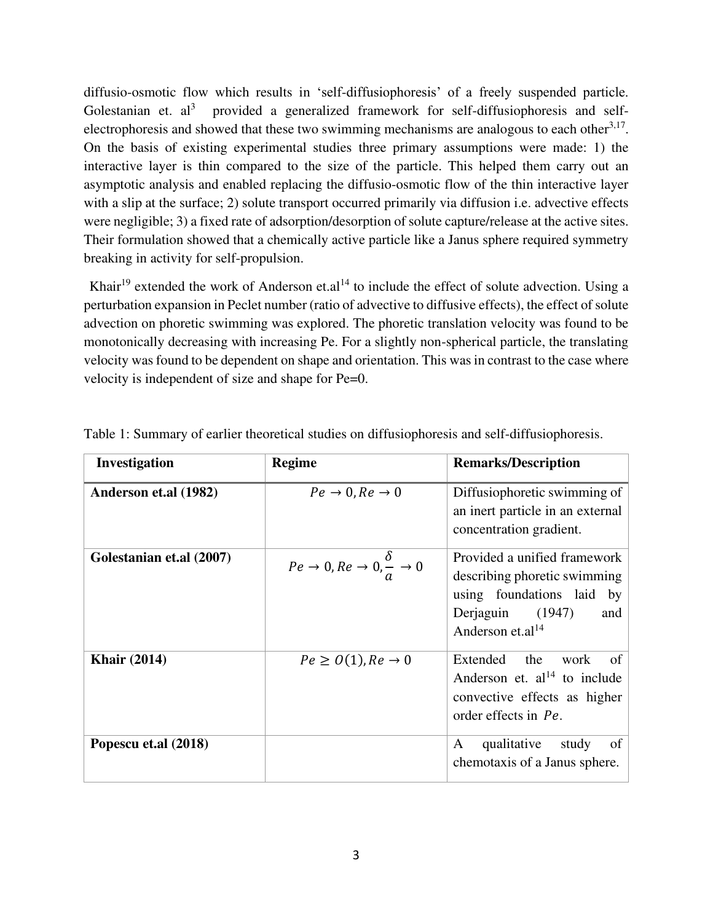diffusio-osmotic flow which results in 'self-diffusiophoresis' of a freely suspended particle. Golestanian et.  $al^3$  provided a generalized framework for self-diffusiophoresis and selfelectrophoresis and showed that these two swimming mechanisms are analogous to each other<sup>3,17</sup>. On the basis of existing experimental studies three primary assumptions were made: 1) the interactive layer is thin compared to the size of the particle. This helped them carry out an asymptotic analysis and enabled replacing the diffusio-osmotic flow of the thin interactive layer with a slip at the surface; 2) solute transport occurred primarily via diffusion i.e. advective effects were negligible; 3) a fixed rate of adsorption/desorption of solute capture/release at the active sites. Their formulation showed that a chemically active particle like a Janus sphere required symmetry breaking in activity for self-propulsion.

Khair<sup>19</sup> extended the work of Anderson et.al<sup>14</sup> to include the effect of solute advection. Using a perturbation expansion in Peclet number (ratio of advective to diffusive effects), the effect of solute advection on phoretic swimming was explored. The phoretic translation velocity was found to be monotonically decreasing with increasing Pe. For a slightly non-spherical particle, the translating velocity was found to be dependent on shape and orientation. This was in contrast to the case where velocity is independent of size and shape for Pe=0.

| Investigation            | <b>Regime</b>                                                        | <b>Remarks/Description</b>                                                                                                                           |
|--------------------------|----------------------------------------------------------------------|------------------------------------------------------------------------------------------------------------------------------------------------------|
| Anderson et.al (1982)    | $Pe \rightarrow 0, Re \rightarrow 0$                                 | Diffusiophoretic swimming of<br>an inert particle in an external<br>concentration gradient.                                                          |
| Golestanian et.al (2007) | $Pe \rightarrow 0, Re \rightarrow 0, \frac{\delta}{a} \rightarrow 0$ | Provided a unified framework<br>describing phoretic swimming<br>using foundations laid by<br>Derjaguin (1947)<br>and<br>Anderson et.al <sup>14</sup> |
| <b>Khair</b> (2014)      | $Pe \geq O(1), Re \rightarrow 0$                                     | Extended the<br>work<br>of<br>Anderson et. $al^{14}$ to include<br>convective effects as higher<br>order effects in Pe.                              |
| Popescu et.al (2018)     |                                                                      | qualitative<br>study<br>A<br>of<br>chemotaxis of a Janus sphere.                                                                                     |

Table 1: Summary of earlier theoretical studies on diffusiophoresis and self-diffusiophoresis.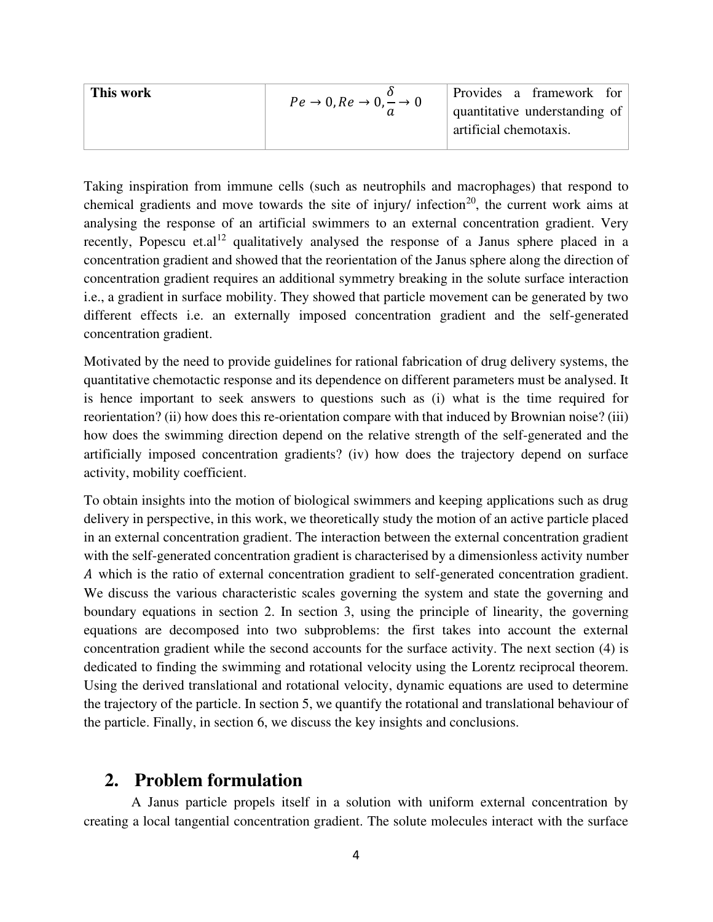| Provides a framework for                                  |
|-----------------------------------------------------------|
| quantitative understanding of                             |
| artificial chemotaxis.                                    |
| $Pe \rightarrow 0$ , $Re \rightarrow 0$ , $\rightarrow 0$ |

Taking inspiration from immune cells (such as neutrophils and macrophages) that respond to chemical gradients and move towards the site of injury/ infection<sup>20</sup>, the current work aims at analysing the response of an artificial swimmers to an external concentration gradient. Very recently, Popescu et.al<sup>12</sup> qualitatively analysed the response of a Janus sphere placed in a concentration gradient and showed that the reorientation of the Janus sphere along the direction of concentration gradient requires an additional symmetry breaking in the solute surface interaction i.e., a gradient in surface mobility. They showed that particle movement can be generated by two different effects i.e. an externally imposed concentration gradient and the self-generated concentration gradient.

Motivated by the need to provide guidelines for rational fabrication of drug delivery systems, the quantitative chemotactic response and its dependence on different parameters must be analysed. It is hence important to seek answers to questions such as (i) what is the time required for reorientation? (ii) how does this re-orientation compare with that induced by Brownian noise? (iii) how does the swimming direction depend on the relative strength of the self-generated and the artificially imposed concentration gradients? (iv) how does the trajectory depend on surface activity, mobility coefficient.

To obtain insights into the motion of biological swimmers and keeping applications such as drug delivery in perspective, in this work, we theoretically study the motion of an active particle placed in an external concentration gradient. The interaction between the external concentration gradient with the self-generated concentration gradient is characterised by a dimensionless activity number which is the ratio of external concentration gradient to self-generated concentration gradient. We discuss the various characteristic scales governing the system and state the governing and boundary equations in section 2. In section 3, using the principle of linearity, the governing equations are decomposed into two subproblems: the first takes into account the external concentration gradient while the second accounts for the surface activity. The next section (4) is dedicated to finding the swimming and rotational velocity using the Lorentz reciprocal theorem. Using the derived translational and rotational velocity, dynamic equations are used to determine the trajectory of the particle. In section 5, we quantify the rotational and translational behaviour of the particle. Finally, in section 6, we discuss the key insights and conclusions.

### **2. Problem formulation**

 A Janus particle propels itself in a solution with uniform external concentration by creating a local tangential concentration gradient. The solute molecules interact with the surface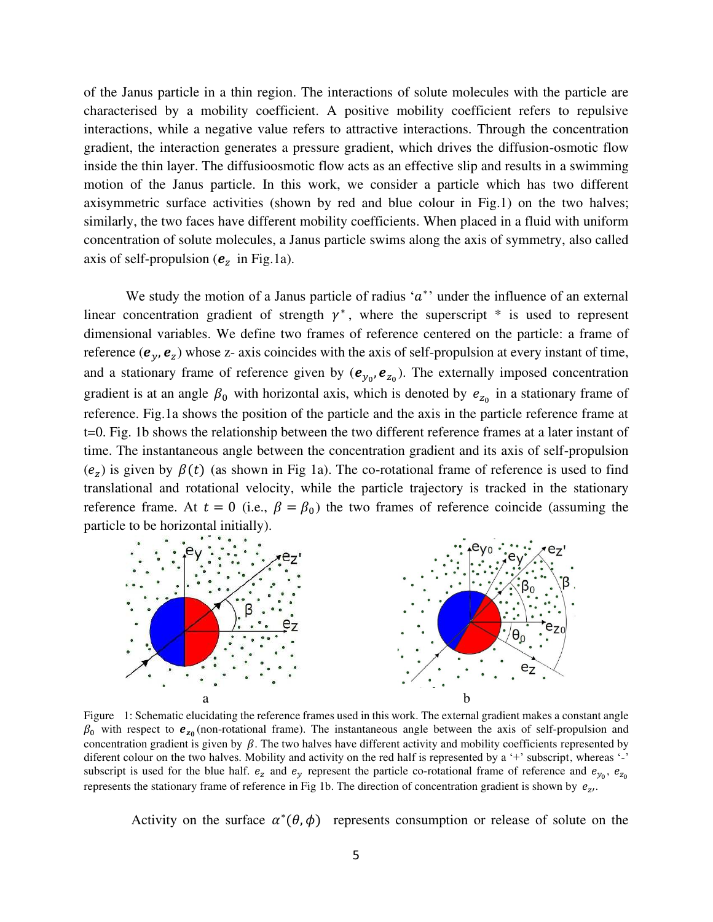of the Janus particle in a thin region. The interactions of solute molecules with the particle are characterised by a mobility coefficient. A positive mobility coefficient refers to repulsive interactions, while a negative value refers to attractive interactions. Through the concentration gradient, the interaction generates a pressure gradient, which drives the diffusion-osmotic flow inside the thin layer. The diffusioosmotic flow acts as an effective slip and results in a swimming motion of the Janus particle. In this work, we consider a particle which has two different axisymmetric surface activities (shown by red and blue colour in Fig.1) on the two halves; similarly, the two faces have different mobility coefficients. When placed in a fluid with uniform concentration of solute molecules, a Janus particle swims along the axis of symmetry, also called axis of self-propulsion ( $e_z$  in Fig.1a).

We study the motion of a Janus particle of radius ' $a^*$ ' under the influence of an external linear concentration gradient of strength  $\gamma^*$ , where the superscript  $*$  is used to represent dimensional variables. We define two frames of reference centered on the particle: a frame of reference  $(e_y, e_z)$  whose z- axis coincides with the axis of self-propulsion at every instant of time, and a stationary frame of reference given by  $(e_{y_0}, e_{z_0})$ . The externally imposed concentration gradient is at an angle  $\beta_0$  with horizontal axis, which is denoted by  $e_{z_0}$  in a stationary frame of reference. Fig.1a shows the position of the particle and the axis in the particle reference frame at t=0. Fig. 1b shows the relationship between the two different reference frames at a later instant of time. The instantaneous angle between the concentration gradient and its axis of self-propulsion  $(e_z)$  is given by  $\beta(t)$  (as shown in Fig 1a). The co-rotational frame of reference is used to find translational and rotational velocity, while the particle trajectory is tracked in the stationary reference frame. At  $t = 0$  (i.e.,  $\beta = \beta_0$ ) the two frames of reference coincide (assuming the particle to be horizontal initially).



Figure 1: Schematic elucidating the reference frames used in this work. The external gradient makes a constant angle  $\beta_0$  with respect to  $e_{z_0}$  (non-rotational frame). The instantaneous angle between the axis of self-propulsion and concentration gradient is given by  $\beta$ . The two halves have different activity and mobility coefficients represented by diferent colour on the two halves. Mobility and activity on the red half is represented by a '+' subscript, whereas '-' subscript is used for the blue half.  $e_z$  and  $e_y$  represent the particle co-rotational frame of reference and  $e_{y_0}$ ,  $e_{z_0}$ represents the stationary frame of reference in Fig 1b. The direction of concentration gradient is shown by  $e_{zt}$ .

Activity on the surface  $\alpha^*(\theta, \phi)$  represents consumption or release of solute on the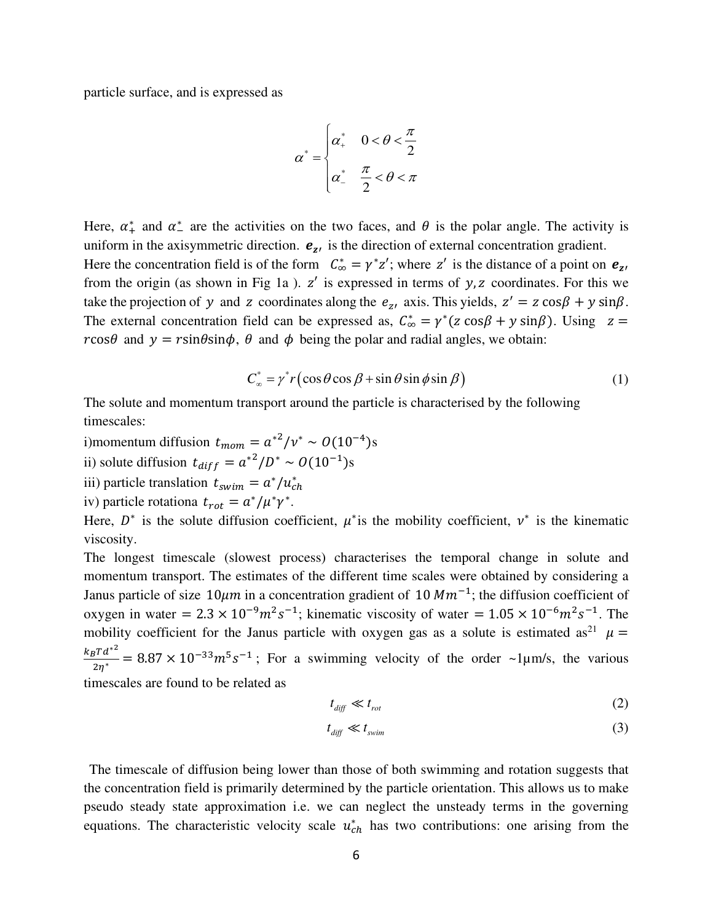particle surface, and is expressed as

$$
\alpha^* = \begin{cases} \alpha_+^* & 0 < \theta < \frac{\pi}{2} \\ \alpha_-^* & \frac{\pi}{2} < \theta < \pi \end{cases}
$$

Here,  $\alpha^*$  and  $\alpha^*$  are the activities on the two faces, and  $\theta$  is the polar angle. The activity is uniform in the axisymmetric direction.  $e_{z}$  is the direction of external concentration gradient. Here the concentration field is of the form  $C^*_{\infty} = \gamma^* z'$ ; where z' is the distance of a point on  $e_{z'}$ from the origin (as shown in Fig 1a).  $z'$  is expressed in terms of  $y$ ,  $z$  coordinates. For this we take the projection of y and z coordinates along the  $e_{zt}$  axis. This yields,  $z' = z \cos\beta + y \sin\beta$ . The external concentration field can be expressed as,  $C^*_{\infty} = \gamma^* (z \cos \beta + y \sin \beta)$ . Using  $z =$  $r\cos\theta$  and  $y = r\sin\theta\sin\phi$ ,  $\theta$  and  $\phi$  being the polar and radial angles, we obtain:

$$
C_{\infty}^* = \gamma^* r \left( \cos \theta \cos \beta + \sin \theta \sin \phi \sin \beta \right) \tag{1}
$$

The solute and momentum transport around the particle is characterised by the following timescales:

i)momentum diffusion  $t_{mom} = a^{2}/v^* \sim O(10^{-4})s$ 

ii) solute diffusion  $t_{diff} = a^{*2}/D^* \sim O(10^{-1})s$ 

iii) particle translation  $t_{swim} = a^*/u_{ch}^*$ 

iv) particle rotationa  $t_{rot} = a^*/\mu^* \gamma^*$ .

Here,  $D^*$  is the solute diffusion coefficient,  $\mu^*$  is the mobility coefficient,  $\nu^*$  is the kinematic viscosity.

The longest timescale (slowest process) characterises the temporal change in solute and momentum transport. The estimates of the different time scales were obtained by considering a Janus particle of size  $10 \mu m$  in a concentration gradient of 10  $Mm^{-1}$ ; the diffusion coefficient of oxygen in water =  $2.3 \times 10^{-9} m^2 s^{-1}$ ; kinematic viscosity of water =  $1.05 \times 10^{-6} m^2 s^{-1}$ . The mobility coefficient for the Janus particle with oxygen gas as a solute is estimated as<sup>21</sup>  $\mu$  =  $\frac{k_B T d^{*2}}{2\eta^*}$  = 8.87 × 10<sup>-33</sup> $m^5 s^{-1}$ ; For a swimming velocity of the order ~1 $\mu$ m/s, the various timescales are found to be related as

$$
t_{\text{diff}} \ll t_{\text{rot}} \tag{2}
$$

$$
t_{\text{diff}} \ll t_{\text{swim}} \tag{3}
$$

 The timescale of diffusion being lower than those of both swimming and rotation suggests that the concentration field is primarily determined by the particle orientation. This allows us to make pseudo steady state approximation i.e. we can neglect the unsteady terms in the governing equations. The characteristic velocity scale  $u_{ch}^*$  has two contributions: one arising from the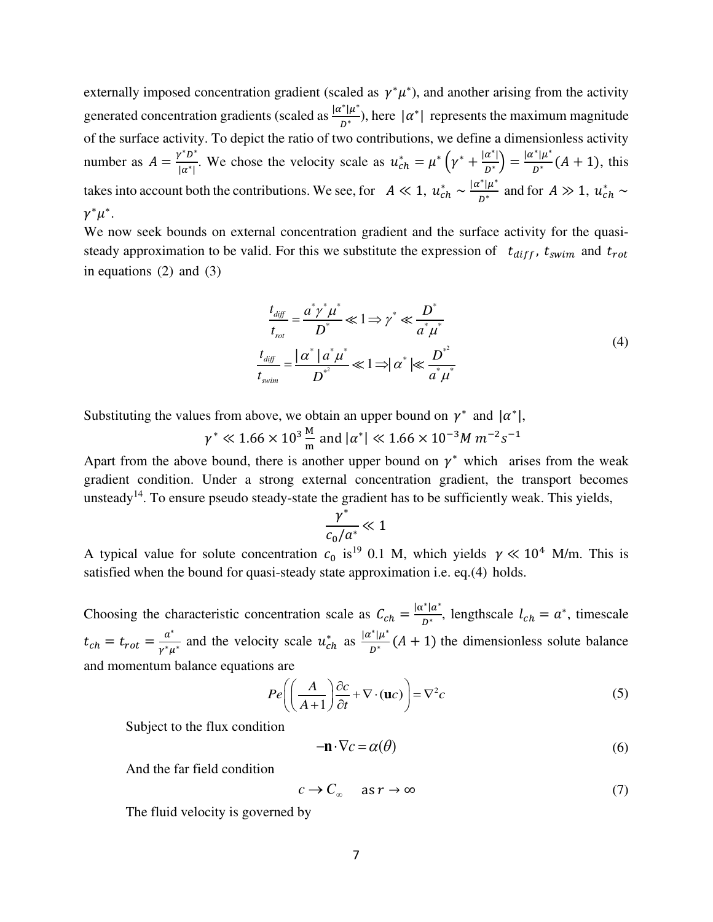externally imposed concentration gradient (scaled as  $\gamma^*\mu^*$ ), and another arising from the activity generated concentration gradients (scaled as  $\frac{|\alpha^*| \mu^*}{R}$  $\frac{1}{p^*}$ ), here  $|\alpha^*|$  represents the maximum magnitude of the surface activity. To depict the ratio of two contributions, we define a dimensionless activity number as  $A = \frac{\gamma^* D^*}{|\alpha^*|}$  $v^*D^*$ . We chose the velocity scale as  $u_{ch}^* = \mu^* \left(\gamma^* + \frac{|\alpha^*|}{D^*}\right)$  $\frac{a^*}{D^*}$  =  $\frac{|\alpha^*| \mu^*}{D^*}$  $\frac{1}{D^*}(A+1)$ , this takes into account both the contributions. We see, for  $A \ll 1$ ,  $u_{ch}^* \sim \frac{|\alpha^*| \mu^*}{D^*}$  $\frac{1}{D^*}$  and for  $A \gg 1$ ,  $u_{ch}^* \sim$  $\gamma^*\mu^*.$ 

We now seek bounds on external concentration gradient and the surface activity for the quasisteady approximation to be valid. For this we substitute the expression of  $t_{diff}$ ,  $t_{swim}$  and  $t_{rot}$ in equations (2) and (3)

$$
\frac{t_{\text{diff}}}{t_{\text{rot}}} = \frac{a^* \gamma^* \mu^*}{D^*} \ll 1 \Longrightarrow \gamma^* \ll \frac{D^*}{a^* \mu^*}
$$
\n
$$
\frac{t_{\text{diff}}}{t_{\text{swim}}} = \frac{|\alpha^*| a^* \mu^*}{D^*} \ll 1 \Longrightarrow |\alpha^*| \ll \frac{D^{*^2}}{a^* \mu^*}
$$
\n
$$
(4)
$$

Substituting the values from above, we obtain an upper bound on  $\gamma^*$  and  $|\alpha^*|$ ,

 $\gamma^* \ll 1.66 \times 10^3 \frac{\text{m}}{\text{m}}$  and  $|\alpha^*| \ll 1.66 \times 10^{-3} M m^{-2} s^{-1}$ 

Apart from the above bound, there is another upper bound on  $\gamma^*$  which arises from the weak gradient condition. Under a strong external concentration gradient, the transport becomes unsteady<sup>14</sup>. To ensure pseudo steady-state the gradient has to be sufficiently weak. This yields,

$$
\frac{\gamma^*}{c_0/a^*} \ll 1
$$

A typical value for solute concentration  $c_0$  is<sup>19</sup> 0.1 M, which yields  $\gamma \ll 10^4$  M/m. This is satisfied when the bound for quasi-steady state approximation i.e. eq.(4) holds.

Choosing the characteristic concentration scale as  $C_{ch} = \frac{|\alpha^*| a^*}{D^*}$  $\frac{1}{b^*}$ , lengthscale  $l_{ch} = a^*$ , timescale  $t_{ch} = t_{rot} = \frac{a^*}{v^*u}$  $\frac{a^*}{\gamma^*\mu^*}$  and the velocity scale  $u_{ch}^*$  as  $\frac{|\alpha^*| \mu^*}{D^*}$  $\frac{1\mu}{D^*}(A+1)$  the dimensionless solute balance and momentum balance equations are

$$
Pe \left( \left( \frac{A}{A+1} \right) \frac{\partial c}{\partial t} + \nabla \cdot (\mathbf{u}c) \right) = \nabla^2 c \tag{5}
$$

Subject to the flux condition

$$
-\mathbf{n} \cdot \nabla c = \alpha(\theta) \tag{6}
$$

And the far field condition

$$
c \to C_{\infty} \quad \text{as } r \to \infty \tag{7}
$$

The fluid velocity is governed by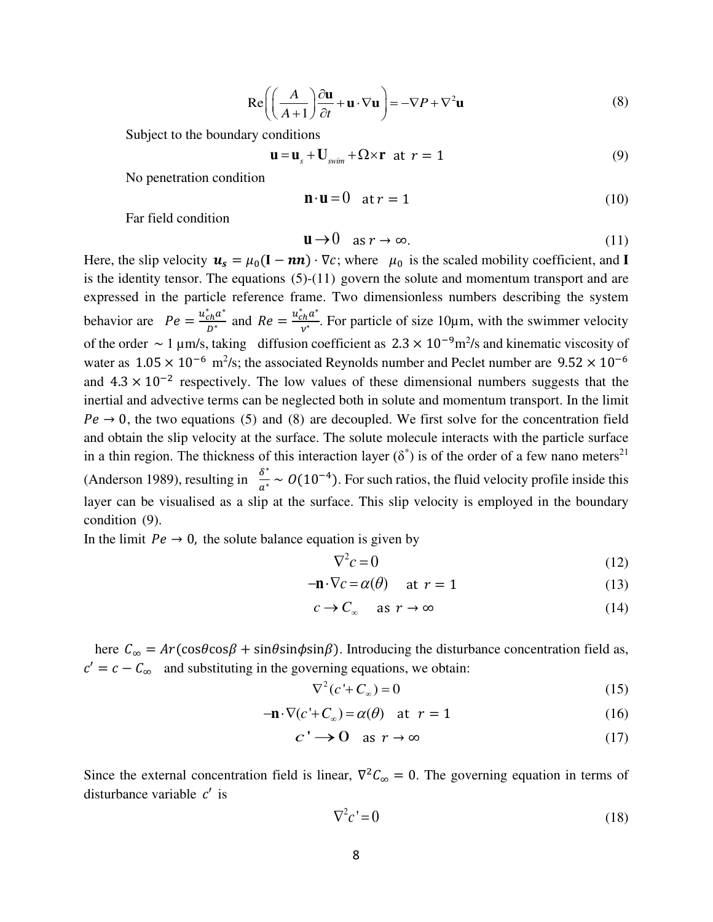$$
\operatorname{Re}\left(\left(\frac{A}{A+1}\right)\frac{\partial \mathbf{u}}{\partial t} + \mathbf{u} \cdot \nabla \mathbf{u}\right) = -\nabla P + \nabla^2 \mathbf{u}
$$
 (8)

Subject to the boundary conditions

$$
\mathbf{u} = \mathbf{u}_s + \mathbf{U}_{\text{swim}} + \Omega \times \mathbf{r} \quad \text{at} \quad r = 1 \tag{9}
$$

No penetration condition

$$
\mathbf{n} \cdot \mathbf{u} = 0 \quad \text{at } r = 1 \tag{10}
$$

Far field condition

$$
\mathbf{u} \to 0 \quad \text{as } r \to \infty. \tag{11}
$$

Here, the slip velocity  $u_s = \mu_0 (I - nn) \cdot \nabla c$ ; where  $\mu_0$  is the scaled mobility coefficient, and **I** is the identity tensor. The equations (5)-(11) govern the solute and momentum transport and are expressed in the particle reference frame. Two dimensionless numbers describing the system behavior are  $Pe = \frac{u_{ch}^* a^*}{D^*}$  $\frac{c_h a^*}{D^*}$  and  $Re = \frac{u_{ch}^* a^*}{v^*}$  $\frac{h^{\alpha}}{v^{*}}$ . For particle of size 10µm, with the swimmer velocity of the order  $\sim 1 \,\mu$ m/s, taking diffusion coefficient as  $2.3 \times 10^{-9}$ m<sup>2</sup>/s and kinematic viscosity of water as  $1.05 \times 10^{-6}$  m<sup>2</sup>/s; the associated Reynolds number and Peclet number are  $9.52 \times 10^{-6}$ and  $4.3 \times 10^{-2}$  respectively. The low values of these dimensional numbers suggests that the inertial and advective terms can be neglected both in solute and momentum transport. In the limit  $Pe \rightarrow 0$ , the two equations (5) and (8) are decoupled. We first solve for the concentration field and obtain the slip velocity at the surface. The solute molecule interacts with the particle surface in a thin region. The thickness of this interaction layer  $(\delta^*)$  is of the order of a few nano meters<sup>21</sup> (Anderson 1989), resulting in  $\frac{\delta^*}{a^*} \sim O(10^{-4})$ . For such ratios, the fluid velocity profile inside this layer can be visualised as a slip at the surface. This slip velocity is employed in the boundary condition (9).

In the limit  $Pe \rightarrow 0$ , the solute balance equation is given by

$$
\nabla^2 c = 0 \tag{12}
$$

$$
-\mathbf{n} \cdot \nabla c = \alpha(\theta) \quad \text{at } r = 1 \tag{13}
$$

$$
c \to C_{\infty} \quad \text{as } r \to \infty \tag{14}
$$

here  $C_{\infty} = Ar(\cos\theta \cos\beta + \sin\theta \sin\phi \sin\beta)$ . Introducing the disturbance concentration field as,  $c' = c - C_{\infty}$  and substituting in the governing equations, we obtain:

$$
\nabla^2 (c' + C_\infty) = 0 \tag{15}
$$

$$
-\mathbf{n} \cdot \nabla (c' + C_{\infty}) = \alpha(\theta) \quad \text{at} \quad r = 1 \tag{16}
$$

$$
c' \to 0 \quad \text{as } r \to \infty \tag{17}
$$

Since the external concentration field is linear,  $\nabla^2 C_{\infty} = 0$ . The governing equation in terms of disturbance variable  $c'$  is

$$
\nabla^2 c' = 0 \tag{18}
$$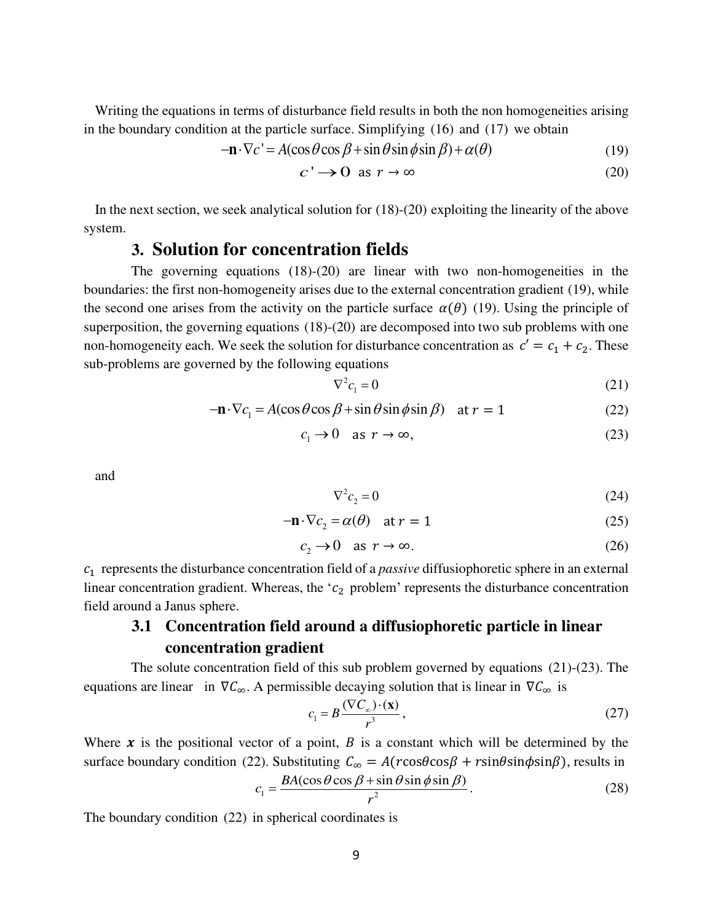Writing the equations in terms of disturbance field results in both the non homogeneities arising in the boundary condition at the particle surface. Simplifying (16) and (17) we obtain

$$
-\mathbf{n} \cdot \nabla c' = A(\cos \theta \cos \beta + \sin \theta \sin \phi \sin \beta) + \alpha(\theta)
$$
(19)

$$
c' \to 0 \text{ as } r \to \infty \tag{20}
$$

 In the next section, we seek analytical solution for (18)-(20) exploiting the linearity of the above system.

# **3. Solution for concentration fields**

 The governing equations (18)-(20) are linear with two non-homogeneities in the boundaries: the first non-homogeneity arises due to the external concentration gradient (19), while the second one arises from the activity on the particle surface  $\alpha(\theta)$  (19). Using the principle of superposition, the governing equations (18)-(20) are decomposed into two sub problems with one non-homogeneity each. We seek the solution for disturbance concentration as  $c' = c_1 + c_2$ . These sub-problems are governed by the following equations

$$
\nabla^2 c_1 = 0 \tag{21}
$$

$$
-\mathbf{n} \cdot \nabla c_1 = A(\cos \theta \cos \beta + \sin \theta \sin \phi \sin \beta) \quad \text{at } r = 1 \tag{22}
$$

$$
c_1 \to 0 \quad \text{as } r \to \infty,\tag{23}
$$

and

$$
\nabla^2 c_2 = 0 \tag{24}
$$

$$
-\mathbf{n} \cdot \nabla c_2 = \alpha(\theta) \quad \text{at } r = 1 \tag{25}
$$

$$
c_2 \to 0 \quad \text{as } r \to \infty. \tag{26}
$$

1 represents the disturbance concentration field of a *passive* diffusiophoretic sphere in an external linear concentration gradient. Whereas, the ' $c_2$  problem' represents the disturbance concentration field around a Janus sphere.

## **3.1 Concentration field around a diffusiophoretic particle in linear concentration gradient**

 The solute concentration field of this sub problem governed by equations (21)-(23). The equations are linear in  $\nabla \mathcal{C}_{\infty}$ . A permissible decaying solution that is linear in  $\nabla \mathcal{C}_{\infty}$  is

$$
c_1 = B \frac{(\nabla C_\infty) \cdot (\mathbf{x})}{r^3},\tag{27}
$$

Where  $x$  is the positional vector of a point,  $B$  is a constant which will be determined by the surface boundary condition (22). Substituting  $C_{\infty} = A(r \cos \theta \cos \beta + r \sin \theta \sin \phi \sin \beta)$ , results in

$$
c_1 = \frac{BA(\cos\theta\cos\beta + \sin\theta\sin\phi\sin\beta)}{r^2}.
$$
 (28)

The boundary condition (22) in spherical coordinates is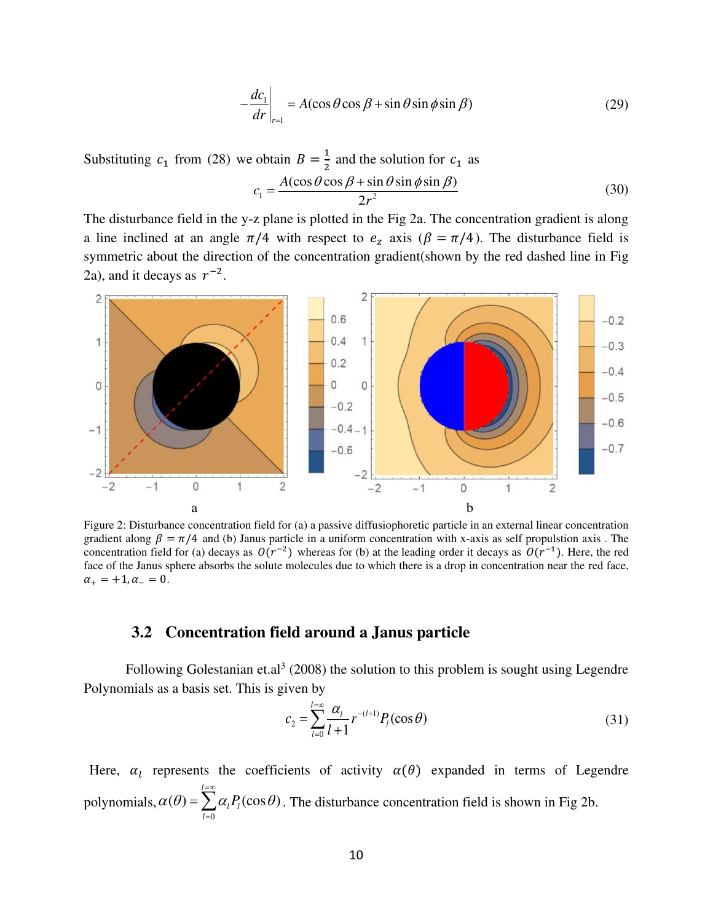$$
-\frac{dc_1}{dr}\bigg|_{r=1} = A(\cos\theta\cos\beta + \sin\theta\sin\phi\sin\beta)
$$
 (29)

Substituting  $c_1$  from (28) we obtain  $B = \frac{1}{2}$  and the solution for  $c_1$  as  $1 - \frac{2x^2}{\alpha^2}$  $(\cos \theta \cos \beta + \sin \theta \sin \phi \sin \beta)$ 2  $c_1 = \frac{A}{A}$ *r*  $=\frac{A(\cos\theta\cos\beta+\sin\theta\sin\phi\sin\beta)}{2}$  (30)

The disturbance field in the y-z plane is plotted in the Fig 2a. The concentration gradient is along a line inclined at an angle  $\pi/4$  with respect to  $e_z$  axis ( $\beta = \pi/4$ ). The disturbance field is symmetric about the direction of the concentration gradient(shown by the red dashed line in Fig 2a), and it decays as  $r^{-2}$ .



Figure 2: Disturbance concentration field for (a) a passive diffusiophoretic particle in an external linear concentration gradient along  $\beta = \pi/4$  and (b) Janus particle in a uniform concentration with x-axis as self propulstion axis. The concentration field for (a) decays as  $O(r^{-2})$  whereas for (b) at the leading order it decays as  $O(r^{-1})$ . Here, the red face of the Janus sphere absorbs the solute molecules due to which there is a drop in concentration near the red face,  $\alpha_+ = +1, \alpha_- = 0.$ 

## **3.2 Concentration field around a Janus particle**

Following Golestanian et.al<sup>3</sup> (2008) the solution to this problem is sought using Legendre Polynomials as a basis set. This is given by

$$
c_2 = \sum_{l=0}^{l=\infty} \frac{\alpha_l}{l+1} r^{-(l+1)} P_l(\cos \theta)
$$
 (31)

Here,  $\alpha_l$  represents the coefficients of activity  $\alpha(\theta)$  expanded in terms of Legendre polynomials,  $\boldsymbol{0}$  $(\theta) = \sum \alpha_i P_i(\cos \theta)$ *l l l l*  $\alpha(\theta) = \sum_{l=\infty}^{l=\infty} \alpha_l P_l(\cos \theta)$  $=\sum_{l=0} \alpha_l P_l(\cos \theta)$ . The disturbance concentration field is shown in Fig 2b.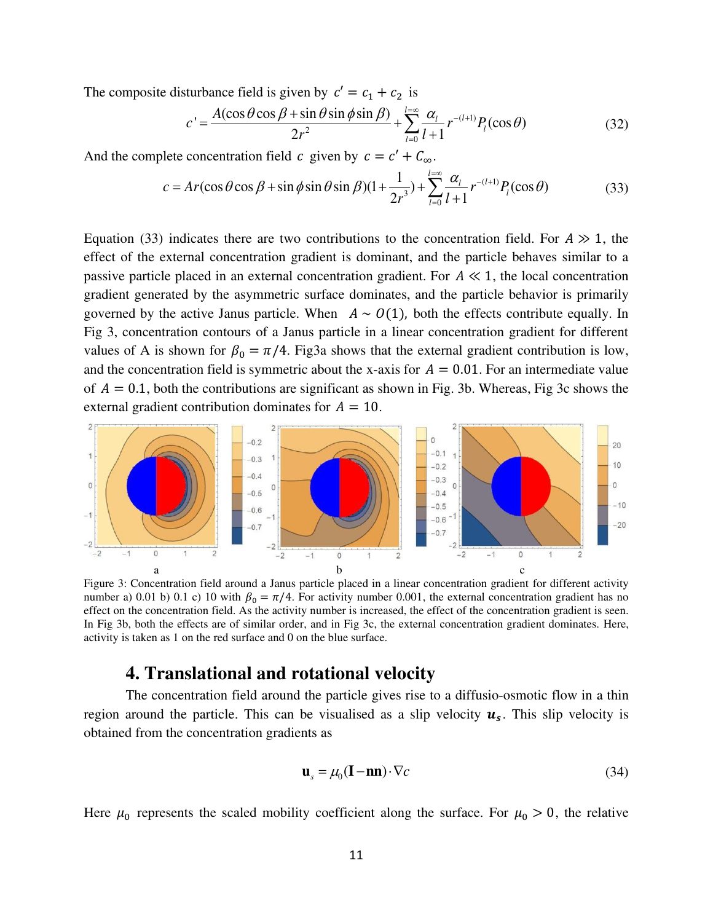The composite disturbance field is given by  $c' = c_1 + c_2$  is

$$
c' = \frac{A(\cos\theta\cos\beta + \sin\theta\sin\phi\sin\beta)}{2r^2} + \sum_{l=0}^{l=\infty} \frac{\alpha_l}{l+1} r^{-(l+1)} P_l(\cos\theta)
$$
(32)

And the complete concentration field  $c$  given by  $c = c' + C_{\infty}$ .

$$
c = Ar(\cos\theta\cos\beta + \sin\phi\sin\theta\sin\beta)(1 + \frac{1}{2r^3}) + \sum_{l=0}^{l=\infty} \frac{\alpha_l}{l+1} r^{-(l+1)} P_l(\cos\theta)
$$
(33)

Equation (33) indicates there are two contributions to the concentration field. For  $A \gg 1$ , the effect of the external concentration gradient is dominant, and the particle behaves similar to a passive particle placed in an external concentration gradient. For  $A \ll 1$ , the local concentration gradient generated by the asymmetric surface dominates, and the particle behavior is primarily governed by the active Janus particle. When  $A \sim O(1)$ , both the effects contribute equally. In Fig 3, concentration contours of a Janus particle in a linear concentration gradient for different values of A is shown for  $\beta_0 = \pi/4$ . Fig3a shows that the external gradient contribution is low, and the concentration field is symmetric about the x-axis for  $A = 0.01$ . For an intermediate value of  $A = 0.1$ , both the contributions are significant as shown in Fig. 3b. Whereas, Fig 3c shows the external gradient contribution dominates for  $A = 10$ .



Figure 3: Concentration field around a Janus particle placed in a linear concentration gradient for different activity number a) 0.01 b) 0.1 c) 10 with  $\beta_0 = \pi/4$ . For activity number 0.001, the external concentration gradient has no effect on the concentration field. As the activity number is increased, the effect of the concentration gradient is seen. In Fig 3b, both the effects are of similar order, and in Fig 3c, the external concentration gradient dominates. Here, activity is taken as 1 on the red surface and 0 on the blue surface.

## **4. Translational and rotational velocity**

The concentration field around the particle gives rise to a diffusio-osmotic flow in a thin region around the particle. This can be visualised as a slip velocity  $u_s$ . This slip velocity is obtained from the concentration gradients as

$$
\mathbf{u}_s = \mu_0 (\mathbf{I} - \mathbf{n} \mathbf{n}) \cdot \nabla c \tag{34}
$$

Here  $\mu_0$  represents the scaled mobility coefficient along the surface. For  $\mu_0 > 0$ , the relative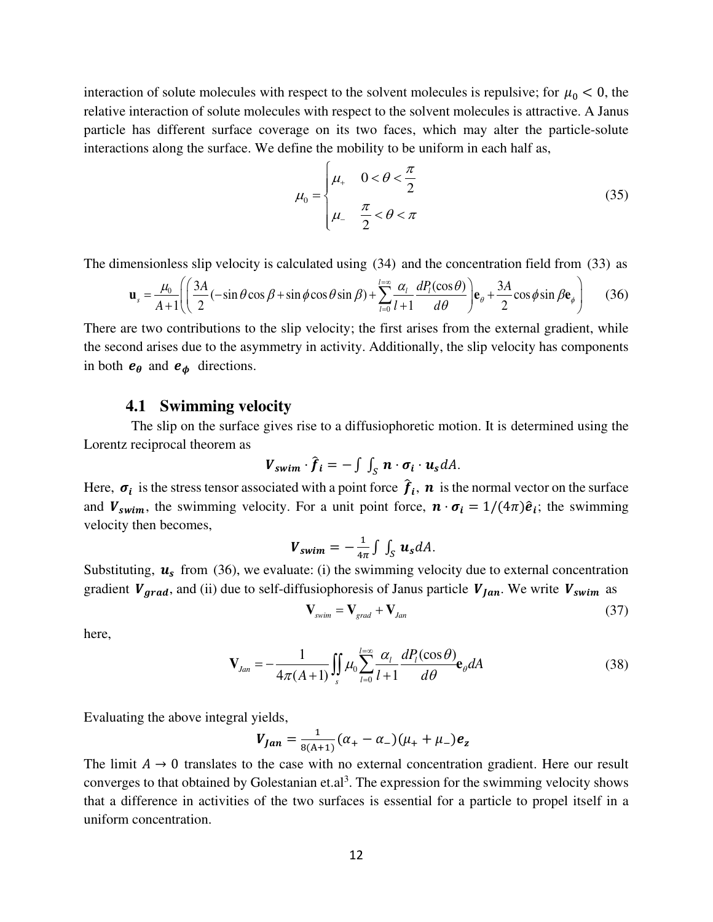interaction of solute molecules with respect to the solvent molecules is repulsive; for  $\mu_0 < 0$ , the relative interaction of solute molecules with respect to the solvent molecules is attractive. A Janus particle has different surface coverage on its two faces, which may alter the particle-solute interactions along the surface. We define the mobility to be uniform in each half as,

$$
\mu_0 = \begin{cases} \mu_+ & 0 < \theta < \frac{\pi}{2} \\ \mu_- & \frac{\pi}{2} < \theta < \pi \end{cases} \tag{35}
$$

The dimensionless slip velocity is calculated using (34) and the concentration field from (33) as

$$
\mathbf{u}_{s} = \frac{\mu_{0}}{A+1} \left( \left( \frac{3A}{2} (-\sin\theta\cos\beta + \sin\phi\cos\theta\sin\beta) + \sum_{l=0}^{l=\infty} \frac{\alpha_{l}}{l+1} \frac{dP_{l}(\cos\theta)}{d\theta} \right) \mathbf{e}_{\theta} + \frac{3A}{2} \cos\phi \sin\beta \mathbf{e}_{\phi} \right)
$$
(36)

There are two contributions to the slip velocity; the first arises from the external gradient, while the second arises due to the asymmetry in activity. Additionally, the slip velocity has components in both  $e_{\theta}$  and  $e_{\phi}$  directions.

#### **4.1 Swimming velocity**

 The slip on the surface gives rise to a diffusiophoretic motion. It is determined using the Lorentz reciprocal theorem as

$$
\mathbf{V}_{swim} \cdot \hat{\boldsymbol{f}}_i = -\int \int_S \boldsymbol{n} \cdot \boldsymbol{\sigma}_i \cdot \boldsymbol{u}_s dA.
$$

Here,  $\sigma_i$  is the stress tensor associated with a point force  $f_i$ ,  $n$  is the normal vector on the surface and  $V_{swim}$ , the swimming velocity. For a unit point force,  $\mathbf{n} \cdot \mathbf{\sigma}_i = 1/(4\pi)\hat{\mathbf{e}}_i$ ; the swimming velocity then becomes,

$$
\mathbf{V}_{swim}=-\frac{1}{4\pi}\int\int_{S}\mathbf{u}_{s}dA.
$$

Substituting,  $u_s$  from (36), we evaluate: (i) the swimming velocity due to external concentration gradient  $V_{grad}$ , and (ii) due to self-diffusiophoresis of Janus particle  $V_{tan}$ . We write  $V_{swim}$  as

$$
\mathbf{V}_{\text{swim}} = \mathbf{V}_{\text{grad}} + \mathbf{V}_{\text{Jan}} \tag{37}
$$

here,

$$
\mathbf{V}_{Jan} = -\frac{1}{4\pi(A+1)} \iint_{S} \mu_0 \sum_{l=0}^{l=\infty} \frac{\alpha_l}{l+1} \frac{dP_l(\cos\theta)}{d\theta} \mathbf{e}_{\theta} dA
$$
(38)

Evaluating the above integral yields,

$$
V_{Jan} = \frac{1}{8(A+1)}(\alpha_{+} - \alpha_{-})(\mu_{+} + \mu_{-})e_{z}
$$

The limit  $A \rightarrow 0$  translates to the case with no external concentration gradient. Here our result converges to that obtained by Golestanian et.al<sup>3</sup>. The expression for the swimming velocity shows that a difference in activities of the two surfaces is essential for a particle to propel itself in a uniform concentration.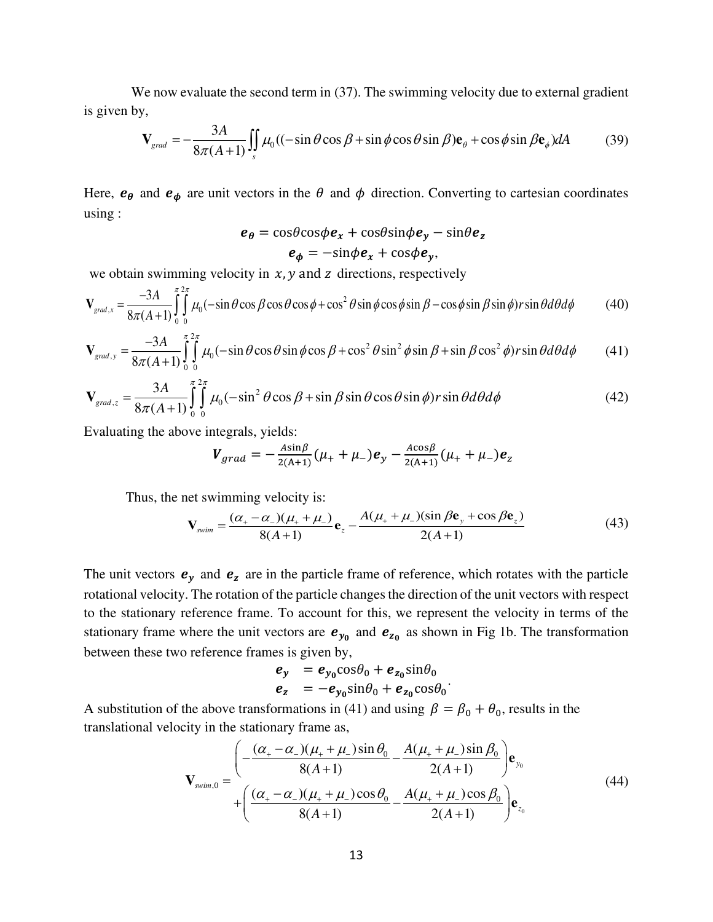We now evaluate the second term in (37). The swimming velocity due to external gradient is given by,

$$
\mathbf{V}_{\text{grad}} = -\frac{3A}{8\pi(A+1)} \iint_{s} \mu_0 ((-\sin\theta\cos\beta + \sin\phi\cos\theta\sin\beta)\mathbf{e}_{\theta} + \cos\phi\sin\beta\mathbf{e}_{\phi})dA \tag{39}
$$

Here,  $e_{\theta}$  and  $e_{\phi}$  are unit vectors in the  $\theta$  and  $\phi$  direction. Converting to cartesian coordinates using :

$$
e_{\theta} = \cos\theta\cos\phi e_x + \cos\theta\sin\phi e_y - \sin\theta e_z
$$
  
 $e_{\phi} = -\sin\phi e_x + \cos\phi e_y,$ 

we obtain swimming velocity in  $x$ ,  $y$  and  $z$  directions, respectively

$$
\mathbf{V}_{grad,x} = \frac{-3A}{8\pi(A+1)} \int_{0}^{\pi/2\pi} \mu_0(-\sin\theta\cos\beta\cos\theta\cos\phi + \cos^2\theta\sin\phi\cos\phi\sin\beta - \cos\phi\sin\beta\sin\phi)r\sin\theta d\theta d\phi
$$
 (40)

$$
\mathbf{V}_{grad,y} = \frac{-3A}{8\pi(A+1)} \int_{0}^{\pi/2\pi} \mu_0(-\sin\theta\cos\theta\sin\phi\cos\beta + \cos^2\theta\sin^2\phi\sin\beta + \sin\beta\cos^2\phi)r\sin\theta d\theta d\phi
$$
 (41)

$$
\mathbf{V}_{grad,z} = \frac{3A}{8\pi(A+1)} \int_{0}^{\pi} \int_{0}^{2\pi} \mu_0 (-\sin^2 \theta \cos \beta + \sin \beta \sin \theta \cos \theta \sin \phi) r \sin \theta d\theta d\phi
$$
 (42)

Evaluating the above integrals, yields:

$$
V_{grad} = -\frac{A\sin\beta}{2(A+1)}(\mu_{+} + \mu_{-})e_y - \frac{A\cos\beta}{2(A+1)}(\mu_{+} + \mu_{-})e_z
$$

Thus, the net swimming velocity is:

$$
\mathbf{V}_{\text{swim}} = \frac{(\alpha_{+} - \alpha_{-})(\mu_{+} + \mu_{-})}{8(A+1)} \mathbf{e}_{z} - \frac{A(\mu_{+} + \mu_{-})(\sin \beta \mathbf{e}_{y} + \cos \beta \mathbf{e}_{z})}{2(A+1)}
$$
(43)

The unit vectors  $e_y$  and  $e_z$  are in the particle frame of reference, which rotates with the particle rotational velocity. The rotation of the particle changes the direction of the unit vectors with respect to the stationary reference frame. To account for this, we represent the velocity in terms of the stationary frame where the unit vectors are  $e_{y_0}$  and  $e_{z_0}$  as shown in Fig 1b. The transformation between these two reference frames is given by,

$$
\begin{array}{ll}\n\mathbf{e}_y &= \mathbf{e}_{y_0} \cos \theta_0 + \mathbf{e}_{z_0} \sin \theta_0 \\
\mathbf{e}_z &= -\mathbf{e}_{y_0} \sin \theta_0 + \mathbf{e}_{z_0} \cos \theta_0\n\end{array}
$$

A substitution of the above transformations in (41) and using  $\beta = \beta_0 + \theta_0$ , results in the translational velocity in the stationary frame as,

$$
\mathbf{V}_{\text{swim},0} = \frac{\left(-\frac{(\alpha_{+} - \alpha_{-})(\mu_{+} + \mu_{-})\sin \theta_{0}}{8(A+1)} - \frac{A(\mu_{+} + \mu_{-})\sin \beta_{0}}{2(A+1)}\right)\mathbf{e}_{y_{0}}}{+\left(\frac{(\alpha_{+} - \alpha_{-})(\mu_{+} + \mu_{-})\cos \theta_{0}}{8(A+1)} - \frac{A(\mu_{+} + \mu_{-})\cos \beta_{0}}{2(A+1)}\right)\mathbf{e}_{z_{0}}}
$$
(44)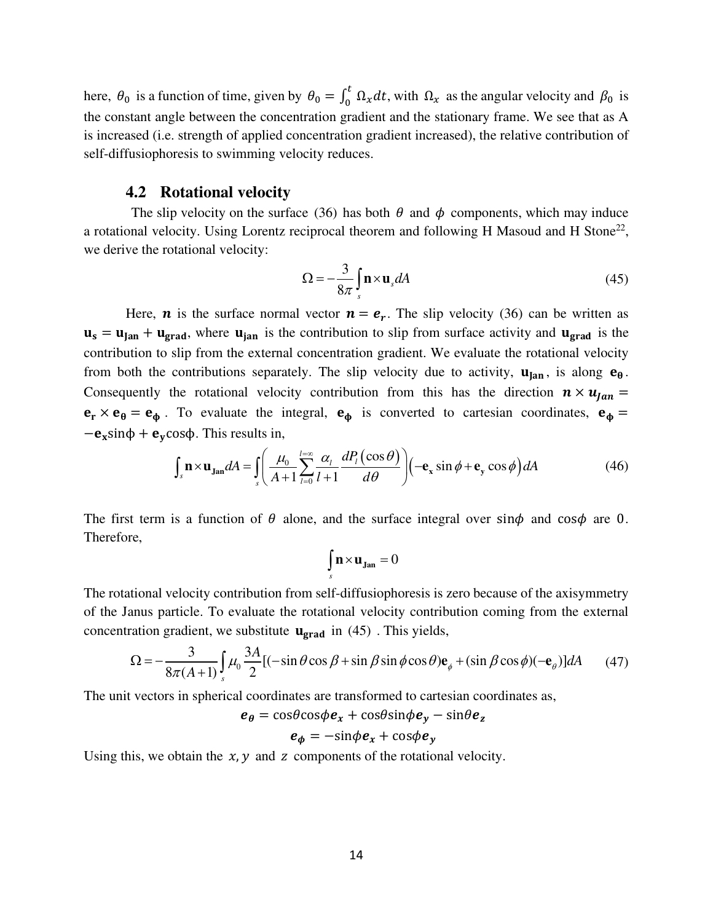here,  $\theta_0$  is a function of time, given by  $\theta_0 = \int_0^t$  $\int_0^{\infty} \Omega_x dt$ , with  $\Omega_x$  as the angular velocity and  $\beta_0$  is the constant angle between the concentration gradient and the stationary frame. We see that as A is increased (i.e. strength of applied concentration gradient increased), the relative contribution of self-diffusiophoresis to swimming velocity reduces.

#### **4.2 Rotational velocity**

The slip velocity on the surface (36) has both  $\theta$  and  $\phi$  components, which may induce a rotational velocity. Using Lorentz reciprocal theorem and following H Masoud and H Stone<sup>22</sup>, we derive the rotational velocity:

$$
\Omega = -\frac{3}{8\pi} \int_{s} \mathbf{n} \times \mathbf{u}_s dA \tag{45}
$$

Here, **n** is the surface normal vector  $n = e_r$ . The slip velocity (36) can be written as  $\mathbf{u}_s = \mathbf{u}_{\text{tan}} + \mathbf{u}_{\text{grad}}$ , where  $\mathbf{u}_{\text{tan}}$  is the contribution to slip from surface activity and  $\mathbf{u}_{\text{grad}}$  is the contribution to slip from the external concentration gradient. We evaluate the rotational velocity from both the contributions separately. The slip velocity due to activity,  $\mathbf{u}_{\text{tan}}$ , is along  $\mathbf{e}_{\theta}$ . Consequently the rotational velocity contribution from this has the direction  $\mathbf{n} \times \mathbf{u}_{fan} =$  $\mathbf{e}_{\mathbf{r}} \times \mathbf{e}_{\theta} = \mathbf{e}_{\phi}$ . To evaluate the integral,  $\mathbf{e}_{\phi}$  is converted to cartesian coordinates,  $\mathbf{e}_{\phi} =$  $-e_x \sin \phi + e_y \cos \phi$ . This results in,

$$
\int_{s} \mathbf{n} \times \mathbf{u}_{\text{Jan}} dA = \int_{s} \left( \frac{\mu_{0}}{A+1} \sum_{l=0}^{l=\infty} \frac{\alpha_{l}}{l+1} \frac{dP_{l}(\cos \theta)}{d\theta} \right) \left( -\mathbf{e}_{x} \sin \phi + \mathbf{e}_{y} \cos \phi \right) dA \tag{46}
$$

The first term is a function of  $\theta$  alone, and the surface integral over sin $\phi$  and cos $\phi$  are 0. Therefore,

$$
\int\limits_s\mathbf{n}\!\times\!\mathbf{u}_\mathbf{Jan}=0
$$

The rotational velocity contribution from self-diffusiophoresis is zero because of the axisymmetry of the Janus particle. To evaluate the rotational velocity contribution coming from the external concentration gradient, we substitute  $\mathbf{u}_{\text{grad}}$  in (45). This yields,

$$
\Omega = -\frac{3}{8\pi(A+1)} \int_{s} \mu_0 \frac{3A}{2} [(-\sin\theta\cos\beta + \sin\beta\sin\phi\cos\theta)\mathbf{e}_{\phi} + (\sin\beta\cos\phi)(-\mathbf{e}_{\theta})]dA \qquad (47)
$$

The unit vectors in spherical coordinates are transformed to cartesian coordinates as,

$$
e_{\theta} = \cos\theta\cos\phi e_x + \cos\theta\sin\phi e_y - \sin\theta e_z
$$

$$
e_{\phi} = -\sin\phi e_x + \cos\phi e_y
$$

Using this, we obtain the  $x$ ,  $y$  and  $z$  components of the rotational velocity.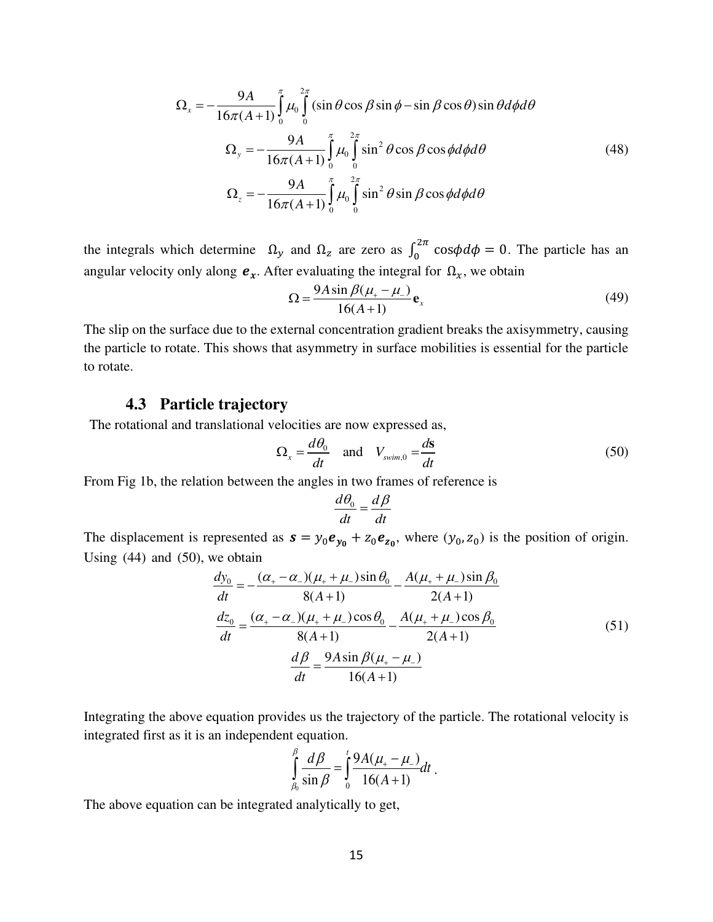$$
\Omega_{x} = -\frac{9A}{16\pi(A+1)} \int_{0}^{\pi} \mu_{0} \int_{0}^{2\pi} (\sin\theta\cos\beta\sin\phi - \sin\beta\cos\theta)\sin\theta d\phi d\theta
$$
\n
$$
\Omega_{y} = -\frac{9A}{16\pi(A+1)} \int_{0}^{\pi} \mu_{0} \int_{0}^{2\pi} \sin^{2}\theta\cos\beta\cos\phi d\phi d\theta
$$
\n
$$
\Omega_{z} = -\frac{9A}{16\pi(A+1)} \int_{0}^{\pi} \mu_{0} \int_{0}^{2\pi} \sin^{2}\theta\sin\beta\cos\phi d\phi d\theta
$$
\n(48)

the integrals which determine  $\Omega_y$  and  $\Omega_z$  are zero as  $\int_0^{2\pi}$  $\int_{0}^{2\pi} \cos \phi d\phi = 0$ . The particle has an angular velocity only along  $e_x$ . After evaluating the integral for  $\Omega_x$ , we obtain

$$
\Omega = \frac{9A\sin\beta(\mu_{+} - \mu_{-})}{16(A+1)} \mathbf{e}_x
$$
\n(49)

The slip on the surface due to the external concentration gradient breaks the axisymmetry, causing the particle to rotate. This shows that asymmetry in surface mobilities is essential for the particle to rotate.

## **4.3 Particle trajectory**

The rotational and translational velocities are now expressed as,

$$
\Omega_x = \frac{d\theta_0}{dt} \quad \text{and} \quad V_{\text{swim},0} = \frac{d\mathbf{s}}{dt} \tag{50}
$$

From Fig 1b, the relation between the angles in two frames of reference is

$$
\frac{d\theta_0}{dt} = \frac{d\beta}{dt}
$$

The displacement is represented as  $s = y_0 e_{y_0} + z_0 e_{z_0}$ , where  $(y_0, z_0)$  is the position of origin. Using  $(44)$  and  $(50)$ , we obtain

$$
\frac{dy_0}{dt} = -\frac{(\alpha_+ - \alpha_-)(\mu_+ + \mu_-)\sin\theta_0}{8(A+1)} - \frac{A(\mu_+ + \mu_-)\sin\theta_0}{2(A+1)}
$$

$$
\frac{dz_0}{dt} = \frac{(\alpha_+ - \alpha_-)(\mu_+ + \mu_-)\cos\theta_0}{8(A+1)} - \frac{A(\mu_+ + \mu_-)\cos\theta_0}{2(A+1)}
$$

$$
\frac{d\beta}{dt} = \frac{9A\sin\beta(\mu_+ - \mu_-)}{16(A+1)}
$$
(51)

Integrating the above equation provides us the trajectory of the particle. The rotational velocity is integrated first as it is an independent equation.

$$
\int_{\beta_0}^{\beta} \frac{d\beta}{\sin \beta} = \int_0^t \frac{9A(\mu_+ - \mu_-)}{16(A+1)} dt.
$$

The above equation can be integrated analytically to get,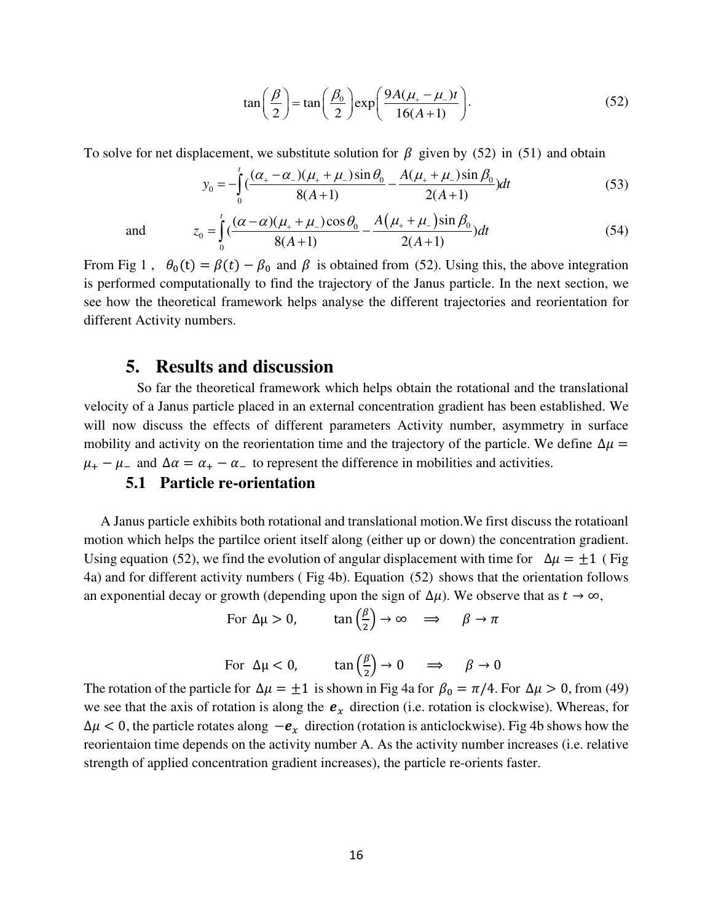$$
\tan\left(\frac{\beta}{2}\right) = \tan\left(\frac{\beta_0}{2}\right) \exp\left(\frac{9A(\mu_+ - \mu_-)t}{16(A+1)}\right). \tag{52}
$$

(54)

To solve for net displacement, we substitute solution for  $\beta$  given by (52) in (51) and obtain

$$
y_0 = -\int_0^t \left(\frac{(\alpha_+ - \alpha_-)(\mu_+ + \mu_-)\sin\theta_0}{8(A+1)} - \frac{A(\mu_+ + \mu_-)\sin\beta_0}{2(A+1)}\right)dt\tag{53}
$$

and  $z_0 = \int_0^t \left( \frac{(\alpha - \alpha)(\mu_+ + \mu_-)\cos\theta_0}{\alpha(1 - \alpha)} - \frac{A(\mu_+ + \mu_-)\sin\beta_0}{\alpha(1 - \alpha)} \right)$ 

From Fig 1,  $\theta_0(t) = \beta(t) - \beta_0$  and  $\beta$  is obtained from (52). Using this, the above integration is performed computationally to find the trajectory of the Janus particle. In the next section, we see how the theoretical framework helps analyse the different trajectories and reorientation for different Activity numbers.

 $\left( \frac{(\alpha - \alpha)(\mu_+ + \mu_-)\cos\theta_0}{\alpha(\mu_+ + \mu_-)\sin\theta_0} - \frac{A(\mu_+ + \mu_-)\sin\theta_0}{\alpha(\mu_+ + \mu_-)\sin\theta_0} \right)$  $8(A+1)$  2(A+1)

 $z_0 = \left( \frac{(x - \alpha)(\mu_+ + \mu_-)\cos\theta_0}{2(1 - \alpha)} - \frac{(\mu_+ + \mu_-)\sin\theta_0}{2(1 - \alpha)} \right) dt$  $A+1$  2(A)  $=\int_{0}^{t} \left(\frac{(\alpha-\alpha)(\mu_{+}+\mu_{-})\cos\theta_{0}}{8(A+1)}-\frac{A(\mu_{+}+\mu_{-})\sin\beta_{0}}{2(A+1)}\right)$ 

 $\int_{\alpha}^{t}$   $(\alpha - \alpha)(\mu_{+} + \mu_{-})\cos\theta_0$  *A* 

#### **5. Results and discussion**

 $\boldsymbol{0}$ 

 $\boldsymbol{0}$ 

 So far the theoretical framework which helps obtain the rotational and the translational velocity of a Janus particle placed in an external concentration gradient has been established. We will now discuss the effects of different parameters Activity number, asymmetry in surface mobility and activity on the reorientation time and the trajectory of the particle. We define  $\Delta \mu$  =  $\mu_+ - \mu_-$  and  $\Delta \alpha = \alpha_+ - \alpha_-$  to represent the difference in mobilities and activities.

### **5.1 Particle re-orientation**

 A Janus particle exhibits both rotational and translational motion.We first discuss the rotatioanl motion which helps the partilce orient itself along (either up or down) the concentration gradient. Using equation (52), we find the evolution of angular displacement with time for  $\Delta \mu = \pm 1$  (Fig. 4a) and for different activity numbers ( Fig 4b). Equation (52) shows that the orientation follows an exponential decay or growth (depending upon the sign of  $\Delta \mu$ ). We observe that as  $t \to \infty$ ,

For  $\Delta \mu > 0$ , tan  $\left(\frac{\beta}{2}\right)$  $\frac{2}{2}$   $\rightarrow \infty \implies \beta \rightarrow \pi$ 

For 
$$
\Delta \mu < 0
$$
,  $\tan \left(\frac{\beta}{2}\right) \rightarrow 0 \implies \beta \rightarrow 0$ 

The rotation of the particle for  $\Delta \mu = \pm 1$  is shown in Fig 4a for  $\beta_0 = \pi/4$ . For  $\Delta \mu > 0$ , from (49) we see that the axis of rotation is along the  $e_x$  direction (i.e. rotation is clockwise). Whereas, for  $\Delta \mu < 0$ , the particle rotates along  $-e_x$  direction (rotation is anticlockwise). Fig 4b shows how the reorientaion time depends on the activity number A. As the activity number increases (i.e. relative strength of applied concentration gradient increases), the particle re-orients faster.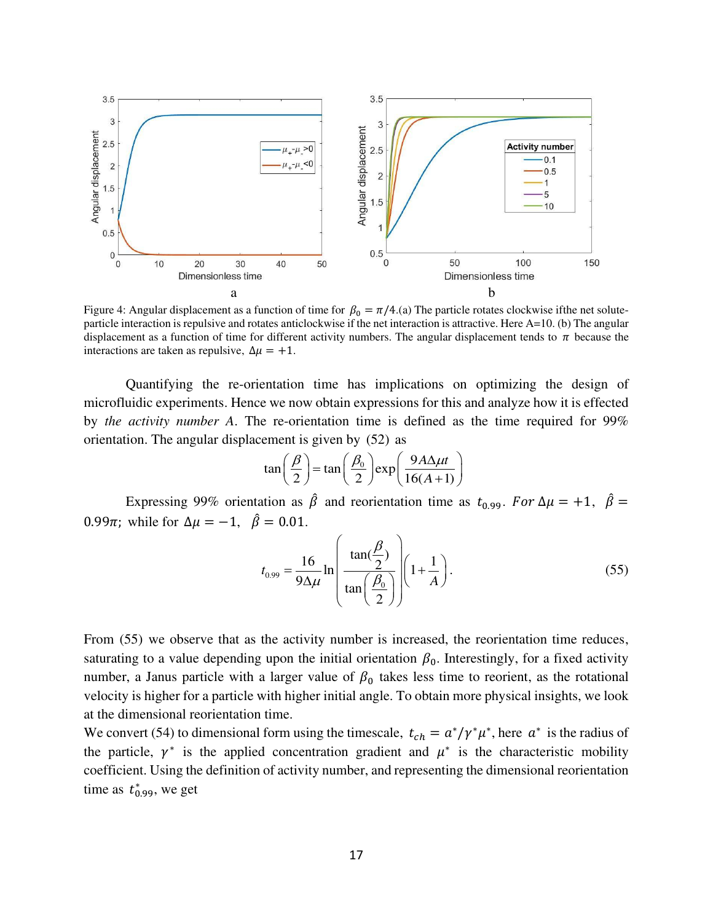

Figure 4: Angular displacement as a function of time for  $\beta_0 = \pi/4$ .(a) The particle rotates clockwise ifthe net soluteparticle interaction is repulsive and rotates anticlockwise if the net interaction is attractive. Here A=10. (b) The angular displacement as a function of time for different activity numbers. The angular displacement tends to  $\pi$  because the interactions are taken as repulsive,  $\Delta \mu = +1$ .

Quantifying the re-orientation time has implications on optimizing the design of microfluidic experiments. Hence we now obtain expressions for this and analyze how it is effected by *the activity number A*. The re-orientation time is defined as the time required for 99% orientation. The angular displacement is given by (52) as

$$
\tan\left(\frac{\beta}{2}\right) = \tan\left(\frac{\beta_0}{2}\right) \exp\left(\frac{9A\Delta\mu t}{16(A+1)}\right)
$$

Expressing 99% orientation as  $\hat{\beta}$  and reorientation time as  $t_{0.99}$ . For  $\Delta \mu = +1$ ,  $\hat{\beta} =$ 0.99 $\pi$ ; while for  $\Delta \mu = -1$ ,  $\hat{\beta} = 0.01$ .

$$
t_{0.99} = \frac{16}{9\Delta\mu} \ln\left(\frac{\tan(\frac{\beta}{2})}{\tan(\frac{\beta_0}{2})}\right) \left(1 + \frac{1}{A}\right). \tag{55}
$$

From (55) we observe that as the activity number is increased, the reorientation time reduces, saturating to a value depending upon the initial orientation  $\beta_0$ . Interestingly, for a fixed activity number, a Janus particle with a larger value of  $\beta_0$  takes less time to reorient, as the rotational velocity is higher for a particle with higher initial angle. To obtain more physical insights, we look at the dimensional reorientation time.

We convert (54) to dimensional form using the timescale,  $t_{ch} = a^*/\gamma^* \mu^*$ , here  $a^*$  is the radius of the particle,  $\gamma^*$  is the applied concentration gradient and  $\mu^*$  is the characteristic mobility coefficient. Using the definition of activity number, and representing the dimensional reorientation time as  $t_{0.99}^*$ , we get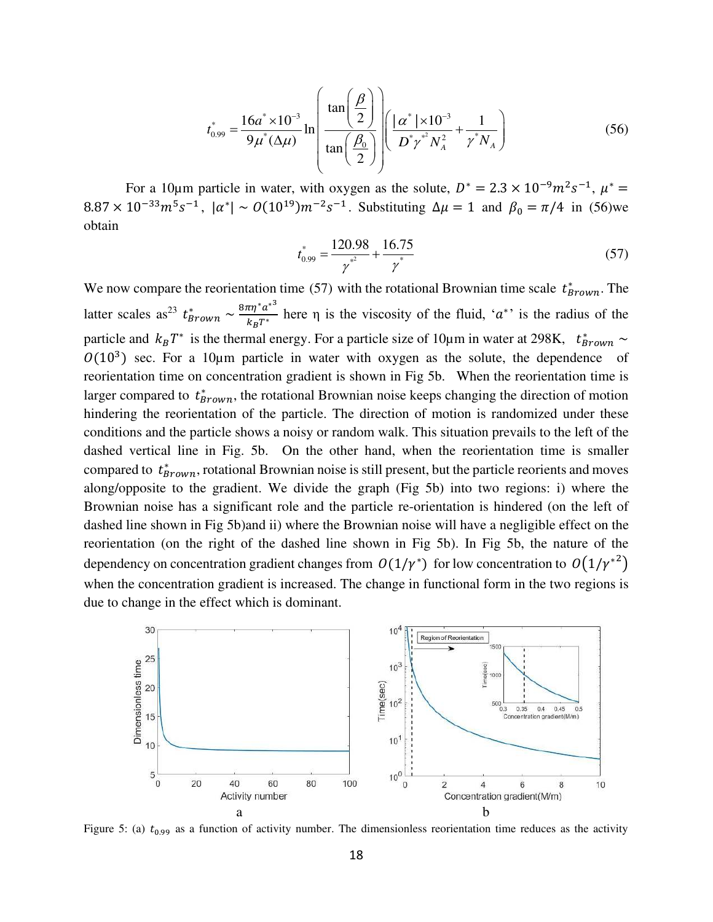$$
t_{0.99}^* = \frac{16a^* \times 10^{-3}}{9\mu^*(\Delta\mu)} \ln \left( \frac{\tan\left(\frac{\beta}{2}\right)}{\tan\left(\frac{\beta_0}{2}\right)} \right) \left( \frac{|\alpha^*| \times 10^{-3}}{D^* \gamma^* N_A^2} + \frac{1}{\gamma^* N_A} \right) \tag{56}
$$

For a 10 $\mu$ m particle in water, with oxygen as the solute,  $D^* = 2.3 \times 10^{-9} m^2 s^{-1}$ ,  $\mu^* =$  $8.87 \times 10^{-33} m^5 s^{-1}$ ,  $|\alpha^*| \sim O(10^{19}) m^{-2} s^{-1}$ . Substituting  $\Delta \mu = 1$  and  $\beta_0 = \pi/4$  in (56)we obtain

$$
t_{0.99}^* = \frac{120.98}{\gamma^*} + \frac{16.75}{\gamma^*} \tag{57}
$$

We now compare the reorientation time (57) with the rotational Brownian time scale  $t^*_{Brown}$ . The latter scales as<sup>23</sup>  $t^*_{Brown} \sim \frac{8\pi\eta^* a^{*3}}{k_B T^*}$  $\frac{h_1}{k_B T^*}$  here  $\eta$  is the viscosity of the fluid, ' $a^*$ ' is the radius of the particle and  $k_B T^*$  is the thermal energy. For a particle size of 10 $\mu$ m in water at 298K,  $t^*_{Brown} \sim$  $O(10^3)$  sec. For a 10 $\mu$ m particle in water with oxygen as the solute, the dependence of reorientation time on concentration gradient is shown in Fig 5b. When the reorientation time is larger compared to  $t^*_{Brown}$ , the rotational Brownian noise keeps changing the direction of motion hindering the reorientation of the particle. The direction of motion is randomized under these conditions and the particle shows a noisy or random walk. This situation prevails to the left of the dashed vertical line in Fig. 5b. On the other hand, when the reorientation time is smaller compared to  $t^*_{Brown}$ , rotational Brownian noise is still present, but the particle reorients and moves along/opposite to the gradient. We divide the graph (Fig 5b) into two regions: i) where the Brownian noise has a significant role and the particle re-orientation is hindered (on the left of dashed line shown in Fig 5b)and ii) where the Brownian noise will have a negligible effect on the reorientation (on the right of the dashed line shown in Fig 5b). In Fig 5b, the nature of the dependency on concentration gradient changes from  $O(1/\gamma^*)$  for low concentration to  $O(1/\gamma^{*2})$ when the concentration gradient is increased. The change in functional form in the two regions is due to change in the effect which is dominant.



Figure 5: (a)  $t_{0.99}$  as a function of activity number. The dimensionless reorientation time reduces as the activity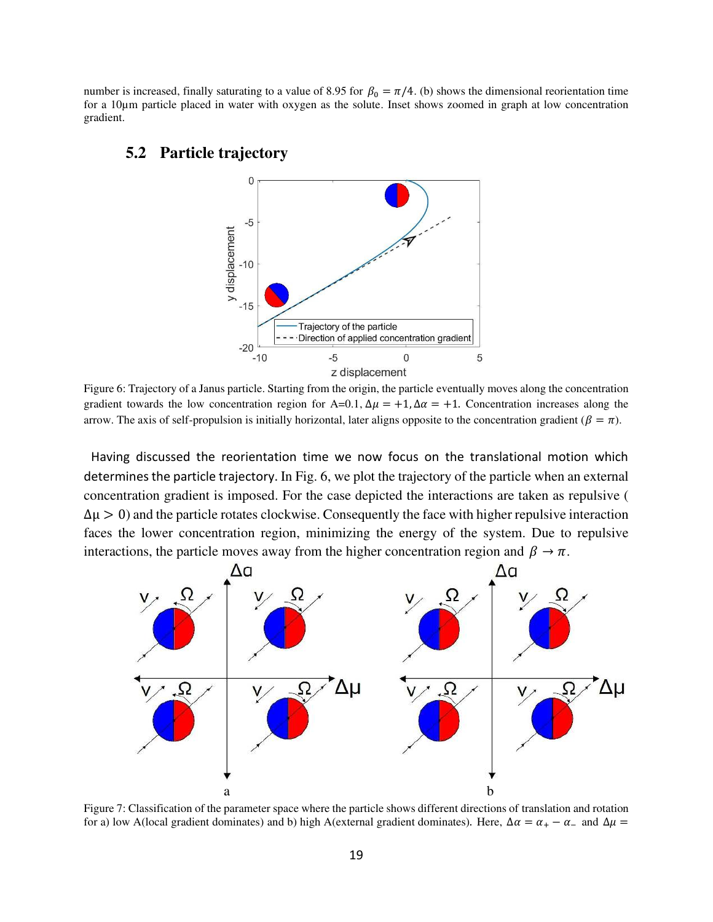number is increased, finally saturating to a value of 8.95 for  $\beta_0 = \pi/4$ . (b) shows the dimensional reorientation time for a 10µm particle placed in water with oxygen as the solute. Inset shows zoomed in graph at low concentration gradient.

#### **5.2 Particle trajectory**



Figure 6: Trajectory of a Janus particle. Starting from the origin, the particle eventually moves along the concentration gradient towards the low concentration region for A=0.1,  $\Delta \mu = +1$ ,  $\Delta \alpha = +1$ . Concentration increases along the arrow. The axis of self-propulsion is initially horizontal, later aligns opposite to the concentration gradient ( $\beta = \pi$ ).

 Having discussed the reorientation time we now focus on the translational motion which determines the particle trajectory. In Fig. 6, we plot the trajectory of the particle when an external concentration gradient is imposed. For the case depicted the interactions are taken as repulsive (  $\Delta \mu > 0$ ) and the particle rotates clockwise. Consequently the face with higher repulsive interaction faces the lower concentration region, minimizing the energy of the system. Due to repulsive interactions, the particle moves away from the higher concentration region and  $\beta \to \pi$ .



Figure 7: Classification of the parameter space where the particle shows different directions of translation and rotation for a) low A(local gradient dominates) and b) high A(external gradient dominates). Here,  $\Delta \alpha = \alpha_+ - \alpha_-$  and  $\Delta \mu =$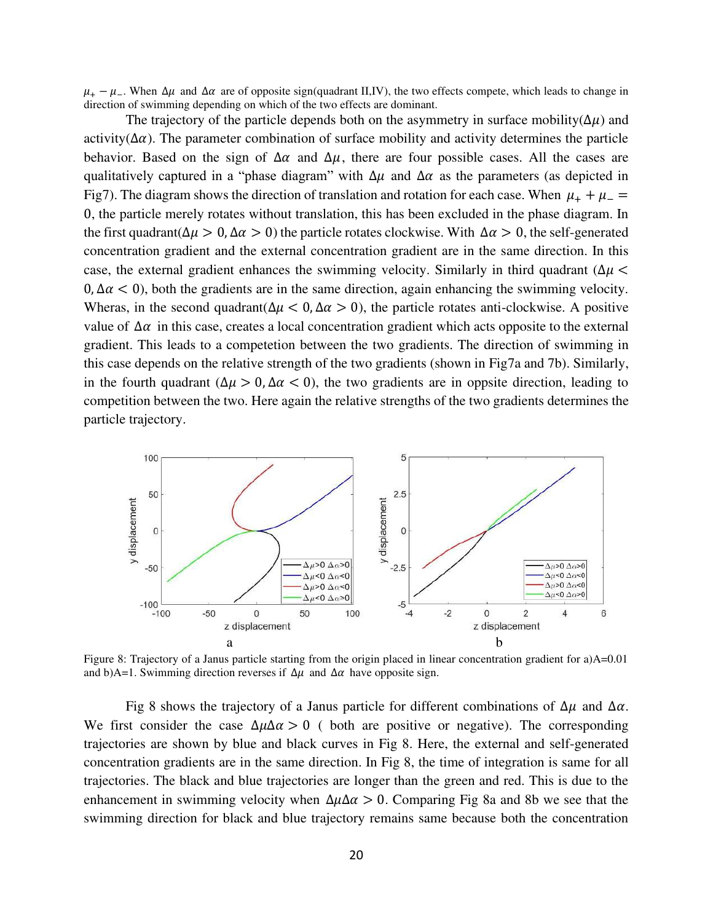$\mu_+ - \mu_-$ . When  $\Delta \mu$  and  $\Delta \alpha$  are of opposite sign(quadrant II,IV), the two effects compete, which leads to change in direction of swimming depending on which of the two effects are dominant.

The trajectory of the particle depends both on the asymmetry in surface mobility( $\Delta \mu$ ) and activity( $\Delta \alpha$ ). The parameter combination of surface mobility and activity determines the particle behavior. Based on the sign of  $\Delta \alpha$  and  $\Delta \mu$ , there are four possible cases. All the cases are qualitatively captured in a "phase diagram" with  $\Delta \mu$  and  $\Delta \alpha$  as the parameters (as depicted in Fig7). The diagram shows the direction of translation and rotation for each case. When  $\mu_{+} + \mu_{-} =$ 0, the particle merely rotates without translation, this has been excluded in the phase diagram. In the first quadrant( $\Delta \mu > 0$ ,  $\Delta \alpha > 0$ ) the particle rotates clockwise. With  $\Delta \alpha > 0$ , the self-generated concentration gradient and the external concentration gradient are in the same direction. In this case, the external gradient enhances the swimming velocity. Similarly in third quadrant ( $\Delta \mu$  <  $0, \Delta \alpha < 0$ , both the gradients are in the same direction, again enhancing the swimming velocity. Wheras, in the second quadrant( $\Delta \mu < 0$ ,  $\Delta \alpha > 0$ ), the particle rotates anti-clockwise. A positive value of  $\Delta \alpha$  in this case, creates a local concentration gradient which acts opposite to the external gradient. This leads to a competetion between the two gradients. The direction of swimming in this case depends on the relative strength of the two gradients (shown in Fig7a and 7b). Similarly, in the fourth quadrant ( $\Delta \mu > 0$ ,  $\Delta \alpha < 0$ ), the two gradients are in oppsite direction, leading to competition between the two. Here again the relative strengths of the two gradients determines the particle trajectory.



Figure 8: Trajectory of a Janus particle starting from the origin placed in linear concentration gradient for a)A=0.01 and b)A=1. Swimming direction reverses if  $\Delta \mu$  and  $\Delta \alpha$  have opposite sign.

Fig 8 shows the trajectory of a Janus particle for different combinations of  $\Delta \mu$  and  $\Delta \alpha$ . We first consider the case  $\Delta \mu \Delta \alpha > 0$  ( both are positive or negative). The corresponding trajectories are shown by blue and black curves in Fig 8. Here, the external and self-generated concentration gradients are in the same direction. In Fig 8, the time of integration is same for all trajectories. The black and blue trajectories are longer than the green and red. This is due to the enhancement in swimming velocity when  $\Delta \mu \Delta \alpha > 0$ . Comparing Fig 8a and 8b we see that the swimming direction for black and blue trajectory remains same because both the concentration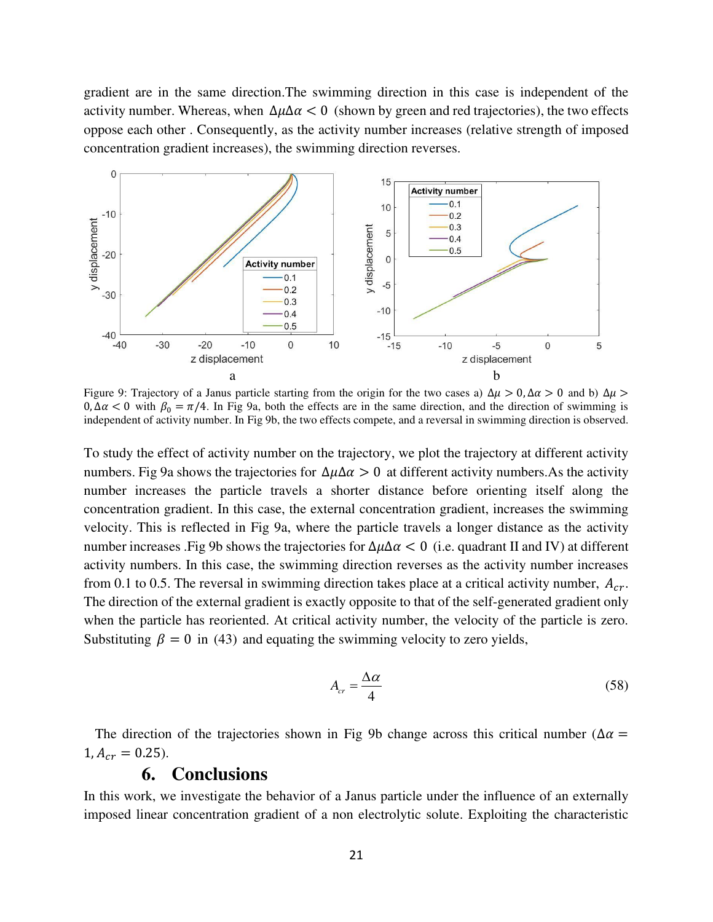gradient are in the same direction.The swimming direction in this case is independent of the activity number. Whereas, when  $\Delta \mu \Delta \alpha < 0$  (shown by green and red trajectories), the two effects oppose each other . Consequently, as the activity number increases (relative strength of imposed concentration gradient increases), the swimming direction reverses.



Figure 9: Trajectory of a Janus particle starting from the origin for the two cases a)  $\Delta \mu > 0$ ,  $\Delta \alpha > 0$  and b)  $\Delta \mu >$  $0, \Delta \alpha < 0$  with  $\beta_0 = \pi/4$ . In Fig 9a, both the effects are in the same direction, and the direction of swimming is independent of activity number. In Fig 9b, the two effects compete, and a reversal in swimming direction is observed.

To study the effect of activity number on the trajectory, we plot the trajectory at different activity numbers. Fig 9a shows the trajectories for  $\Delta \mu \Delta \alpha > 0$  at different activity numbers. As the activity number increases the particle travels a shorter distance before orienting itself along the concentration gradient. In this case, the external concentration gradient, increases the swimming velocity. This is reflected in Fig 9a, where the particle travels a longer distance as the activity number increases .Fig 9b shows the trajectories for  $\Delta \mu \Delta \alpha < 0$  (i.e. quadrant II and IV) at different activity numbers. In this case, the swimming direction reverses as the activity number increases from 0.1 to 0.5. The reversal in swimming direction takes place at a critical activity number,  $A_{cr}$ . The direction of the external gradient is exactly opposite to that of the self-generated gradient only when the particle has reoriented. At critical activity number, the velocity of the particle is zero. Substituting  $\beta = 0$  in (43) and equating the swimming velocity to zero yields,

$$
A_{cr} = \frac{\Delta \alpha}{4} \tag{58}
$$

The direction of the trajectories shown in Fig 9b change across this critical number ( $\Delta \alpha$  =  $1, A_{cr} = 0.25$ .

## **6. Conclusions**

In this work, we investigate the behavior of a Janus particle under the influence of an externally imposed linear concentration gradient of a non electrolytic solute. Exploiting the characteristic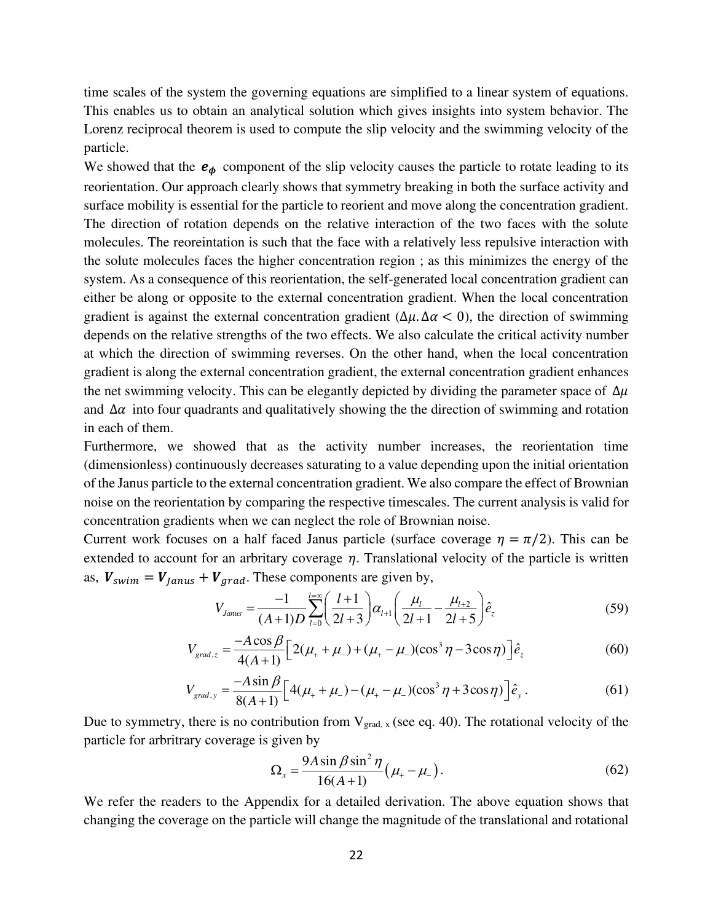time scales of the system the governing equations are simplified to a linear system of equations. This enables us to obtain an analytical solution which gives insights into system behavior. The Lorenz reciprocal theorem is used to compute the slip velocity and the swimming velocity of the particle.

We showed that the  $e_{\phi}$  component of the slip velocity causes the particle to rotate leading to its reorientation. Our approach clearly shows that symmetry breaking in both the surface activity and surface mobility is essential for the particle to reorient and move along the concentration gradient. The direction of rotation depends on the relative interaction of the two faces with the solute molecules. The reoreintation is such that the face with a relatively less repulsive interaction with the solute molecules faces the higher concentration region ; as this minimizes the energy of the system. As a consequence of this reorientation, the self-generated local concentration gradient can either be along or opposite to the external concentration gradient. When the local concentration gradient is against the external concentration gradient ( $\Delta \mu$ .  $\Delta \alpha$  < 0), the direction of swimming depends on the relative strengths of the two effects. We also calculate the critical activity number at which the direction of swimming reverses. On the other hand, when the local concentration gradient is along the external concentration gradient, the external concentration gradient enhances the net swimming velocity. This can be elegantly depicted by dividing the parameter space of  $\Delta \mu$ and  $\Delta \alpha$  into four quadrants and qualitatively showing the the direction of swimming and rotation in each of them.

Furthermore, we showed that as the activity number increases, the reorientation time (dimensionless) continuously decreases saturating to a value depending upon the initial orientation of the Janus particle to the external concentration gradient. We also compare the effect of Brownian noise on the reorientation by comparing the respective timescales. The current analysis is valid for concentration gradients when we can neglect the role of Brownian noise.

Current work focuses on a half faced Janus particle (surface coverage  $\eta = \pi/2$ ). This can be extended to account for an arbritary coverage  $\eta$ . Translational velocity of the particle is written as,  $V_{swim} = V_{lanus} + V_{arad}$ . These components are given by,

$$
V_{Janus} = \frac{-1}{(A+1)D} \sum_{l=0}^{l=\infty} \left(\frac{l+1}{2l+3}\right) \alpha_{l+1} \left(\frac{\mu_l}{2l+1} - \frac{\mu_{l+2}}{2l+5}\right) \hat{e}_z
$$
(59)

$$
V_{grad,z} = \frac{-A\cos\beta}{4(A+1)} \Big[ 2(\mu_+ + \mu_-) + (\mu_+ - \mu_-)(\cos^3\eta - 3\cos\eta) \Big] \hat{e}_z \tag{60}
$$

$$
V_{grad,y} = \frac{-A\sin\beta}{8(A+1)} \Big[ 4(\mu_+ + \mu_-) - (\mu_+ - \mu_-)(\cos^3\eta + 3\cos\eta) \Big] \hat{e}_y. \tag{61}
$$

Due to symmetry, there is no contribution from  $V_{grad, x}$  (see eq. 40). The rotational velocity of the particle for arbritrary coverage is given by

$$
\Omega_{x} = \frac{9A\sin\beta\sin^{2}\eta}{16(A+1)}\left(\mu_{+} - \mu_{-}\right). \tag{62}
$$

We refer the readers to the Appendix for a detailed derivation. The above equation shows that changing the coverage on the particle will change the magnitude of the translational and rotational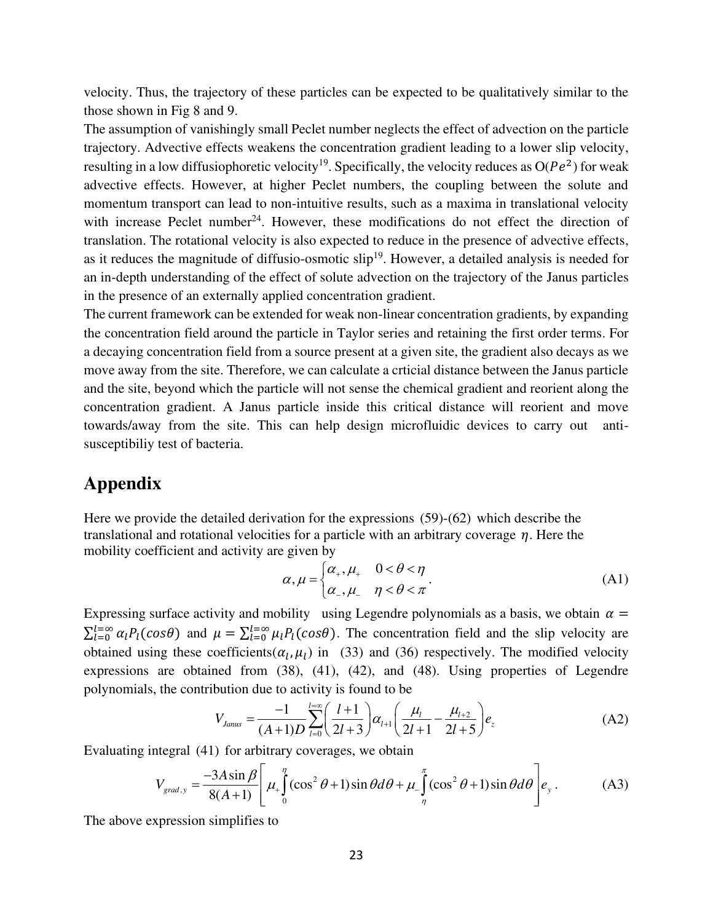velocity. Thus, the trajectory of these particles can be expected to be qualitatively similar to the those shown in Fig 8 and 9.

The assumption of vanishingly small Peclet number neglects the effect of advection on the particle trajectory. Advective effects weakens the concentration gradient leading to a lower slip velocity, resulting in a low diffusiophoretic velocity<sup>19</sup>. Specifically, the velocity reduces as  $O(Pe^2)$  for weak advective effects. However, at higher Peclet numbers, the coupling between the solute and momentum transport can lead to non-intuitive results, such as a maxima in translational velocity with increase Peclet number<sup>24</sup>. However, these modifications do not effect the direction of translation. The rotational velocity is also expected to reduce in the presence of advective effects, as it reduces the magnitude of diffusio-osmotic  $slip<sup>19</sup>$ . However, a detailed analysis is needed for an in-depth understanding of the effect of solute advection on the trajectory of the Janus particles in the presence of an externally applied concentration gradient.

The current framework can be extended for weak non-linear concentration gradients, by expanding the concentration field around the particle in Taylor series and retaining the first order terms. For a decaying concentration field from a source present at a given site, the gradient also decays as we move away from the site. Therefore, we can calculate a crticial distance between the Janus particle and the site, beyond which the particle will not sense the chemical gradient and reorient along the concentration gradient. A Janus particle inside this critical distance will reorient and move towards/away from the site. This can help design microfluidic devices to carry out antisusceptibiliy test of bacteria.

## **Appendix**

Here we provide the detailed derivation for the expressions (59)-(62) which describe the translational and rotational velocities for a particle with an arbitrary coverage  $\eta$ . Here the mobility coefficient and activity are given by

$$
\alpha, \mu = \begin{cases} \alpha_+, \mu_+ & 0 < \theta < \eta \\ \alpha_-, \mu_- & \eta < \theta < \pi \end{cases} \tag{A1}
$$

Expressing surface activity and mobility using Legendre polynomials as a basis, we obtain  $\alpha =$  $\sum_{l=0}^{l=\infty} \alpha_l P_l(cos\theta)$  and  $\mu = \sum_{l=0}^{l=\infty} \mu_l P_l(cos\theta)$ . The concentration field and the slip velocity are obtained using these coefficients  $(\alpha_l, \mu_l)$  in (33) and (36) respectively. The modified velocity expressions are obtained from (38), (41), (42), and (48). Using properties of Legendre polynomials, the contribution due to activity is found to be

$$
V_{\text{James}} = \frac{-1}{(A+1)D} \sum_{l=0}^{l=\infty} \left(\frac{l+1}{2l+3}\right) \alpha_{l+1} \left(\frac{\mu_l}{2l+1} - \frac{\mu_{l+2}}{2l+5}\right) e_z \tag{A2}
$$

Evaluating integral (41) for arbitrary coverages, we obtain

$$
V_{grad,y} = \frac{-3A\sin\beta}{8(A+1)} \left[ \mu_{+} \int_{0}^{\eta} (\cos^{2}\theta + 1)\sin\theta d\theta + \mu_{-} \int_{\eta}^{\pi} (\cos^{2}\theta + 1)\sin\theta d\theta \right] e_{y}.
$$
 (A3)

The above expression simplifies to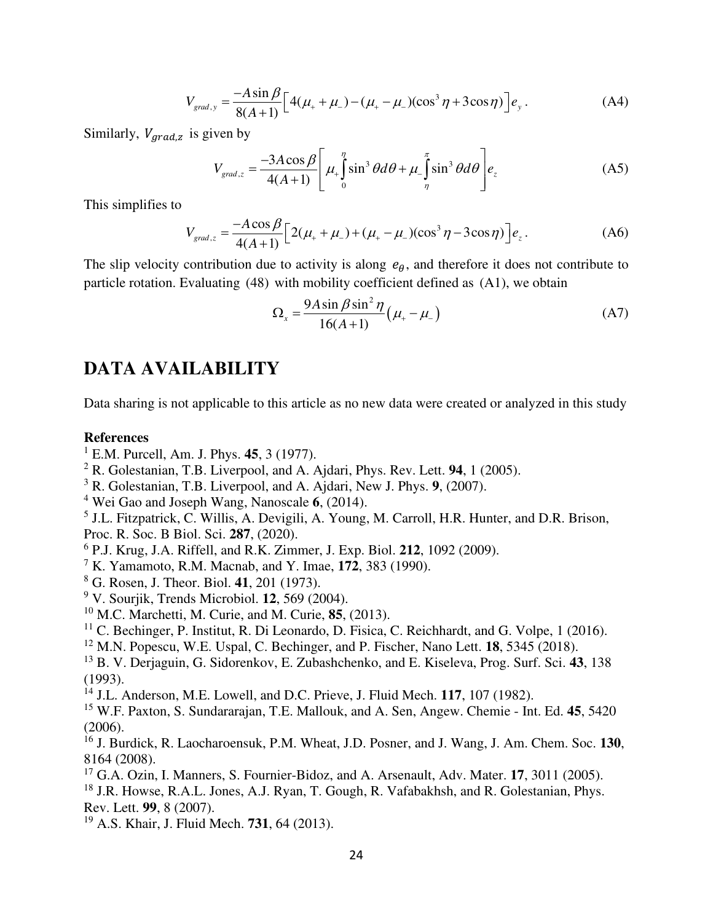$$
V_{grad,y} = \frac{-A\sin\beta}{8(A+1)} \Big[ 4(\mu_{+} + \mu_{-}) - (\mu_{+} - \mu_{-})(\cos^{3}\eta + 3\cos\eta) \Big] e_{y}.
$$
 (A4)

Similarly,  $V_{\text{arad},z}$  is given by

$$
V_{grad,z} = \frac{-3A\cos\beta}{4(A+1)} \left[ \mu_{+} \int_{0}^{\eta} \sin^{3}\theta d\theta + \mu_{-} \int_{\eta}^{\pi} \sin^{3}\theta d\theta \right] e_{z}
$$
 (A5)

This simplifies to

$$
V_{grad,z} = \frac{-A\cos\beta}{4(A+1)} \Big[ 2(\mu_+ + \mu_-) + (\mu_+ - \mu_-)(\cos^3\eta - 3\cos\eta) \Big] e_z.
$$
 (A6)

The slip velocity contribution due to activity is along  $e_{\theta}$ , and therefore it does not contribute to particle rotation. Evaluating (48) with mobility coefficient defined as (A1), we obtain

$$
\Omega_{x} = \frac{9A\sin\beta\sin^{2}\eta}{16(A+1)}\left(\mu_{+} - \mu_{-}\right)
$$
 (A7)

# **DATA AVAILABILITY**

Data sharing is not applicable to this article as no new data were created or analyzed in this study

#### **References**

- 1 E.M. Purcell, Am. J. Phys. **45**, 3 (1977).
- 2 R. Golestanian, T.B. Liverpool, and A. Ajdari, Phys. Rev. Lett. **94**, 1 (2005).
- 3 R. Golestanian, T.B. Liverpool, and A. Ajdari, New J. Phys. **9**, (2007).
- 4 Wei Gao and Joseph Wang, Nanoscale **6**, (2014).
- <sup>5</sup> J.L. Fitzpatrick, C. Willis, A. Devigili, A. Young, M. Carroll, H.R. Hunter, and D.R. Brison,
- Proc. R. Soc. B Biol. Sci. **287**, (2020).
- 6 P.J. Krug, J.A. Riffell, and R.K. Zimmer, J. Exp. Biol. **212**, 1092 (2009).
- 7 K. Yamamoto, R.M. Macnab, and Y. Imae, **172**, 383 (1990).
- 8 G. Rosen, J. Theor. Biol. **41**, 201 (1973).
- 9 V. Sourjik, Trends Microbiol. **12**, 569 (2004).
- <sup>10</sup> M.C. Marchetti, M. Curie, and M. Curie, **85**, (2013).
- $11$  C. Bechinger, P. Institut, R. Di Leonardo, D. Fisica, C. Reichhardt, and G. Volpe, 1 (2016).
- <sup>12</sup> M.N. Popescu, W.E. Uspal, C. Bechinger, and P. Fischer, Nano Lett. **18**, 5345 (2018).
- <sup>13</sup> B. V. Derjaguin, G. Sidorenkov, E. Zubashchenko, and E. Kiseleva, Prog. Surf. Sci. **43**, 138 (1993).
- <sup>14</sup> J.L. Anderson, M.E. Lowell, and D.C. Prieve, J. Fluid Mech. **117**, 107 (1982).
- <sup>15</sup> W.F. Paxton, S. Sundararajan, T.E. Mallouk, and A. Sen, Angew. Chemie Int. Ed. **45**, 5420 (2006).
- <sup>16</sup> J. Burdick, R. Laocharoensuk, P.M. Wheat, J.D. Posner, and J. Wang, J. Am. Chem. Soc. **130**, 8164 (2008).
- <sup>17</sup> G.A. Ozin, I. Manners, S. Fournier-Bidoz, and A. Arsenault, Adv. Mater. **17**, 3011 (2005).
- <sup>18</sup> J.R. Howse, R.A.L. Jones, A.J. Ryan, T. Gough, R. Vafabakhsh, and R. Golestanian, Phys. Rev. Lett. **99**, 8 (2007).
- <sup>19</sup> A.S. Khair, J. Fluid Mech. **731**, 64 (2013).